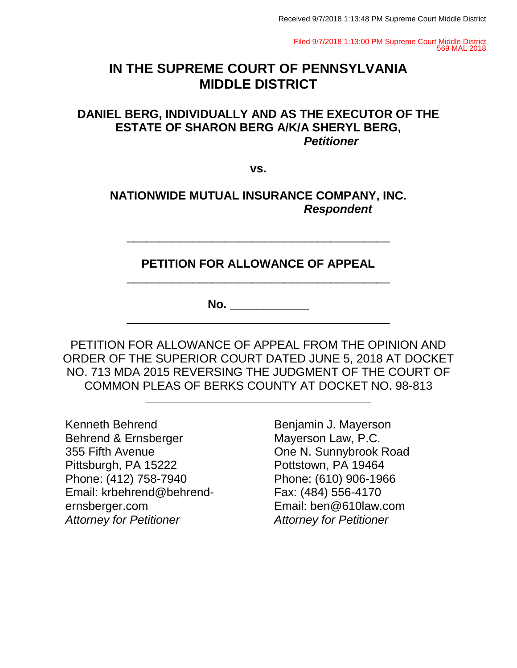Filed 9/7/2018 1:13:00 PM Supreme Court Middle District 569 MAL 2018

## **IN THE SUPREME COURT OF PENNSYLVANIA MIDDLE DISTRICT**

### **DANIEL BERG, INDIVIDUALLY AND AS THE EXECUTOR OF THE ESTATE OF SHARON BERG A/K/A SHERYL BERG,** *Petitioner*

**vs.**

**NATIONWIDE MUTUAL INSURANCE COMPANY, INC.** *Respondent*

**PETITION FOR ALLOWANCE OF APPEAL** \_\_\_\_\_\_\_\_\_\_\_\_\_\_\_\_\_\_\_\_\_\_\_\_\_\_\_\_\_\_\_\_\_\_\_\_\_\_\_\_

\_\_\_\_\_\_\_\_\_\_\_\_\_\_\_\_\_\_\_\_\_\_\_\_\_\_\_\_\_\_\_\_\_\_\_\_\_\_\_\_

**No. \_\_\_\_\_\_\_\_\_\_\_\_**

PETITION FOR ALLOWANCE OF APPEAL FROM THE OPINION AND ORDER OF THE SUPERIOR COURT DATED JUNE 5, 2018 AT DOCKET NO. 713 MDA 2015 REVERSING THE JUDGMENT OF THE COURT OF COMMON PLEAS OF BERKS COUNTY AT DOCKET NO. 98-813

**\_\_\_\_\_\_\_\_\_\_\_\_\_\_\_\_\_\_\_\_\_\_\_\_\_\_\_\_\_\_\_\_\_\_\_\_\_\_\_\_**

\_\_\_\_\_\_\_\_\_\_\_\_\_\_\_\_\_\_\_\_\_\_\_\_\_\_\_\_\_\_\_\_\_\_\_\_\_\_\_\_

Kenneth Behrend Behrend & Ernsberger 355 Fifth Avenue Pittsburgh, PA 15222 Phone: (412) 758-7940 Email: krbehrend@behrendernsberger.com *Attorney for Petitioner*

Benjamin J. Mayerson Mayerson Law, P.C. One N. Sunnybrook Road Pottstown, PA 19464 Phone: (610) 906-1966 Fax: (484) 556-4170 Email: ben@610law.com *Attorney for Petitioner*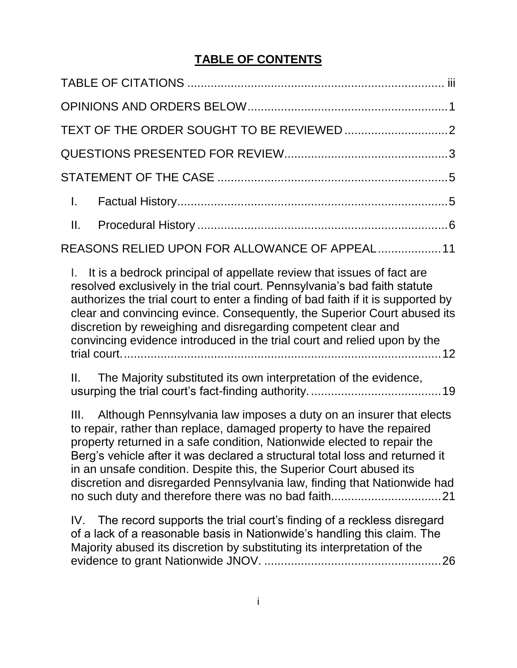## **TABLE OF CONTENTS**

| $\mathbf{L}$                                                                                                                                                                                                                                                                                                                                                                                                                                                       |  |
|--------------------------------------------------------------------------------------------------------------------------------------------------------------------------------------------------------------------------------------------------------------------------------------------------------------------------------------------------------------------------------------------------------------------------------------------------------------------|--|
|                                                                                                                                                                                                                                                                                                                                                                                                                                                                    |  |
| REASONS RELIED UPON FOR ALLOWANCE OF APPEAL 11                                                                                                                                                                                                                                                                                                                                                                                                                     |  |
| I. It is a bedrock principal of appellate review that issues of fact are<br>resolved exclusively in the trial court. Pennsylvania's bad faith statute<br>authorizes the trial court to enter a finding of bad faith if it is supported by<br>clear and convincing evince. Consequently, the Superior Court abused its<br>discretion by reweighing and disregarding competent clear and<br>convincing evidence introduced in the trial court and relied upon by the |  |

II. The Majority substituted its own interpretation of the evidence, usurping the trial court's fact-finding authority........................................19

III. Although Pennsylvania law imposes a duty on an insurer that elects to repair, rather than replace, damaged property to have the repaired property returned in a safe condition, Nationwide elected to repair the Berg's vehicle after it was declared a structural total loss and returned it in an unsafe condition. Despite this, the Superior Court abused its discretion and disregarded Pennsylvania law, finding that Nationwide had no such duty and therefore there was no bad faith.................................21

IV. The record supports the trial court's finding of a reckless disregard of a lack of a reasonable basis in Nationwide's handling this claim. The Majority abused its discretion by substituting its interpretation of the evidence to grant Nationwide JNOV. .....................................................26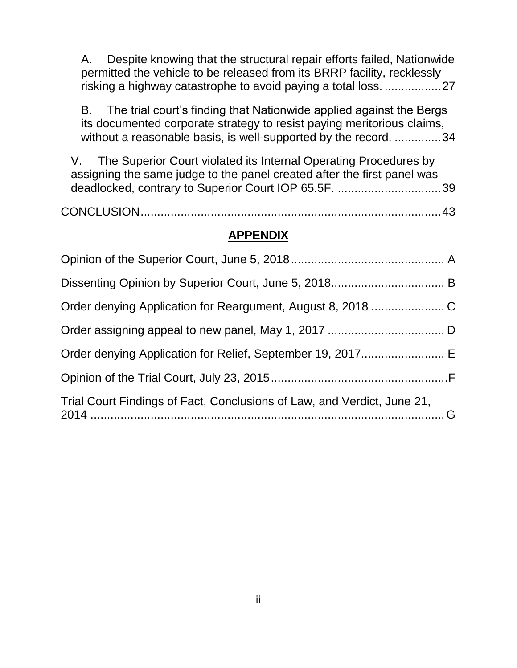A. Despite knowing that the structural repair efforts failed, Nationwide permitted the vehicle to be released from its BRRP facility, recklessly risking a highway catastrophe to avoid paying a total loss. .................27

B. The trial court's finding that Nationwide applied against the Bergs its documented corporate strategy to resist paying meritorious claims, without a reasonable basis, is well-supported by the record. ..............34

V. The Superior Court violated its Internal Operating Procedures by assigning the same judge to the panel created after the first panel was deadlocked, contrary to Superior Court IOP 65.5F. ...............................39

CONCLUSION..........................................................................................43

### **APPENDIX**

| Trial Court Findings of Fact, Conclusions of Law, and Verdict, June 21, |  |
|-------------------------------------------------------------------------|--|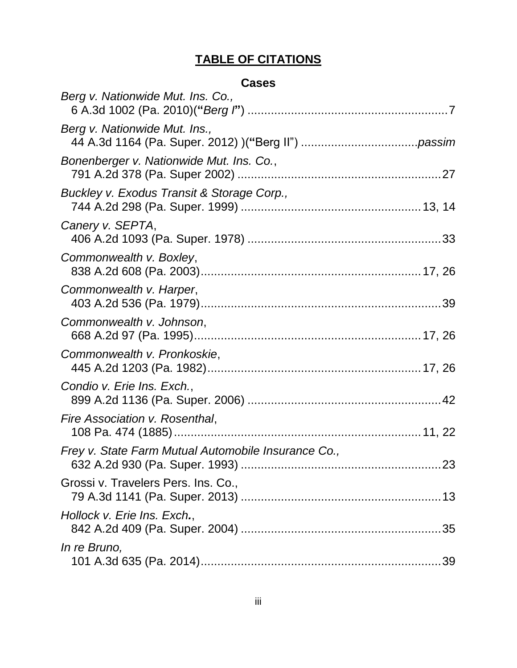# **TABLE OF CITATIONS**

## **Cases**

| Berg v. Nationwide Mut. Ins. Co.,                   |  |
|-----------------------------------------------------|--|
| Berg v. Nationwide Mut. Ins.,                       |  |
| Bonenberger v. Nationwide Mut. Ins. Co.,            |  |
| Buckley v. Exodus Transit & Storage Corp.,          |  |
| Canery v. SEPTA,                                    |  |
| Commonwealth v. Boxley,                             |  |
| Commonwealth v. Harper,                             |  |
| Commonwealth v. Johnson,                            |  |
| Commonwealth v. Pronkoskie,                         |  |
| Condio v. Erie Ins. Exch.,                          |  |
| Fire Association v. Rosenthal,                      |  |
| Frey v. State Farm Mutual Automobile Insurance Co., |  |
| Grossi v. Travelers Pers. Ins. Co.,                 |  |
| Hollock v. Erie Ins. Exch.,                         |  |
| <i>In re Bruno,</i>                                 |  |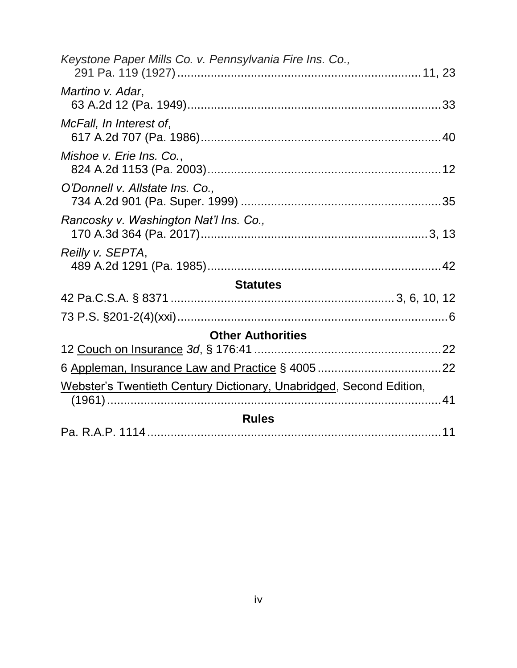| Keystone Paper Mills Co. v. Pennsylvania Fire Ins. Co.,             |  |
|---------------------------------------------------------------------|--|
| Martino v. Adar,                                                    |  |
| McFall, In Interest of,                                             |  |
| Mishoe v. Erie Ins. Co.,                                            |  |
| O'Donnell v. Allstate Ins. Co.,                                     |  |
| Rancosky v. Washington Nat'l Ins. Co.,                              |  |
| Reilly v. SEPTA,                                                    |  |
| <b>Statutes</b>                                                     |  |
|                                                                     |  |
|                                                                     |  |
| <b>Other Authorities</b>                                            |  |
|                                                                     |  |
|                                                                     |  |
| Webster's Twentieth Century Dictionary, Unabridged, Second Edition, |  |
| <b>Rules</b>                                                        |  |
|                                                                     |  |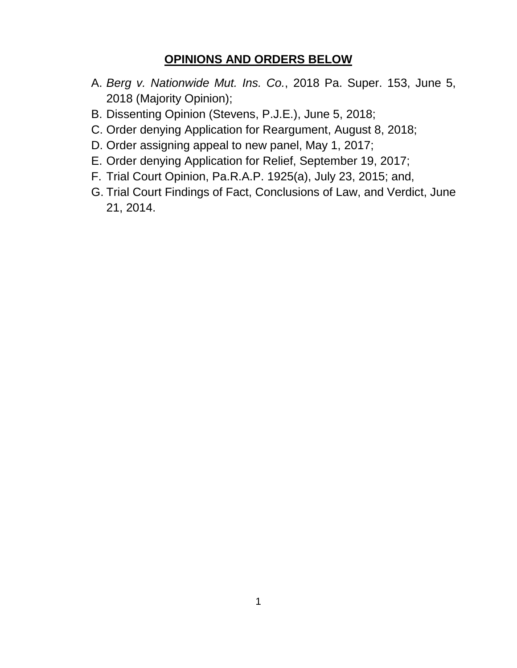## **OPINIONS AND ORDERS BELOW**

- A. *Berg v. Nationwide Mut. Ins. Co.*, 2018 Pa. Super. 153, June 5, 2018 (Majority Opinion);
- B. Dissenting Opinion (Stevens, P.J.E.), June 5, 2018;
- C. Order denying Application for Reargument, August 8, 2018;
- D. Order assigning appeal to new panel, May 1, 2017;
- E. Order denying Application for Relief, September 19, 2017;
- F. Trial Court Opinion, Pa.R.A.P. 1925(a), July 23, 2015; and,
- G. Trial Court Findings of Fact, Conclusions of Law, and Verdict, June 21, 2014.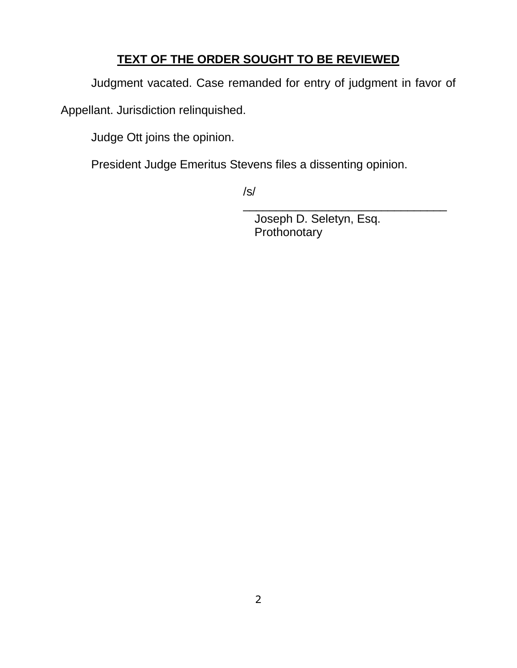## **TEXT OF THE ORDER SOUGHT TO BE REVIEWED**

Judgment vacated. Case remanded for entry of judgment in favor of

Appellant. Jurisdiction relinquished.

Judge Ott joins the opinion.

President Judge Emeritus Stevens files a dissenting opinion.

/s/

Joseph D. Seletyn, Esq. Prothonotary

\_\_\_\_\_\_\_\_\_\_\_\_\_\_\_\_\_\_\_\_\_\_\_\_\_\_\_\_\_\_\_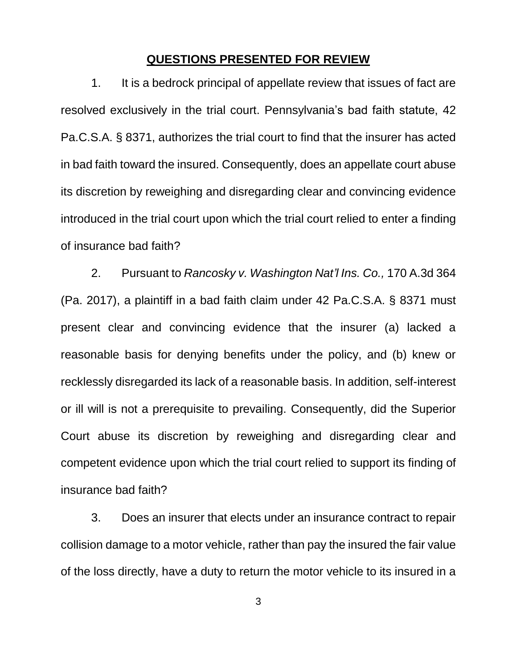#### **QUESTIONS PRESENTED FOR REVIEW**

1. It is a bedrock principal of appellate review that issues of fact are resolved exclusively in the trial court. Pennsylvania's bad faith statute, 42 Pa.C.S.A. § 8371, authorizes the trial court to find that the insurer has acted in bad faith toward the insured. Consequently, does an appellate court abuse its discretion by reweighing and disregarding clear and convincing evidence introduced in the trial court upon which the trial court relied to enter a finding of insurance bad faith?

2. Pursuant to *Rancosky v. Washington Nat'l Ins. Co.,* 170 A.3d 364 (Pa. 2017), a plaintiff in a bad faith claim under 42 Pa.C.S.A. § 8371 must present clear and convincing evidence that the insurer (a) lacked a reasonable basis for denying benefits under the policy, and (b) knew or recklessly disregarded its lack of a reasonable basis. In addition, self-interest or ill will is not a prerequisite to prevailing. Consequently, did the Superior Court abuse its discretion by reweighing and disregarding clear and competent evidence upon which the trial court relied to support its finding of insurance bad faith?

3. Does an insurer that elects under an insurance contract to repair collision damage to a motor vehicle, rather than pay the insured the fair value of the loss directly, have a duty to return the motor vehicle to its insured in a

3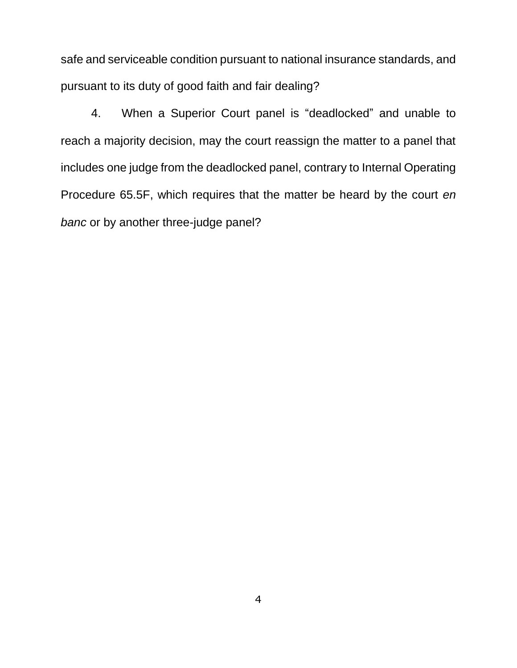safe and serviceable condition pursuant to national insurance standards, and pursuant to its duty of good faith and fair dealing?

4. When a Superior Court panel is "deadlocked" and unable to reach a majority decision, may the court reassign the matter to a panel that includes one judge from the deadlocked panel, contrary to Internal Operating Procedure 65.5F, which requires that the matter be heard by the court *en banc* or by another three-judge panel?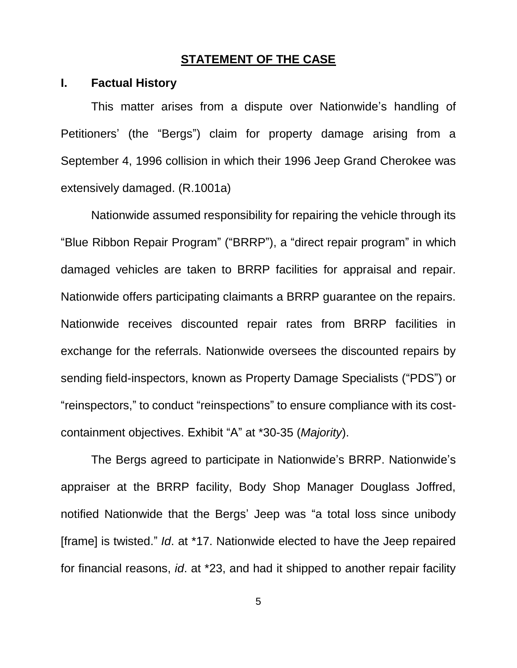### **STATEMENT OF THE CASE**

#### **I. Factual History**

This matter arises from a dispute over Nationwide's handling of Petitioners' (the "Bergs") claim for property damage arising from a September 4, 1996 collision in which their 1996 Jeep Grand Cherokee was extensively damaged. (R.1001a)

Nationwide assumed responsibility for repairing the vehicle through its "Blue Ribbon Repair Program" ("BRRP"), a "direct repair program" in which damaged vehicles are taken to BRRP facilities for appraisal and repair. Nationwide offers participating claimants a BRRP guarantee on the repairs. Nationwide receives discounted repair rates from BRRP facilities in exchange for the referrals. Nationwide oversees the discounted repairs by sending field-inspectors, known as Property Damage Specialists ("PDS") or "reinspectors," to conduct "reinspections" to ensure compliance with its costcontainment objectives. Exhibit "A" at \*30-35 (*Majority*).

The Bergs agreed to participate in Nationwide's BRRP. Nationwide's appraiser at the BRRP facility, Body Shop Manager Douglass Joffred, notified Nationwide that the Bergs' Jeep was "a total loss since unibody [frame] is twisted." *Id*. at \*17. Nationwide elected to have the Jeep repaired for financial reasons, *id*. at \*23, and had it shipped to another repair facility

5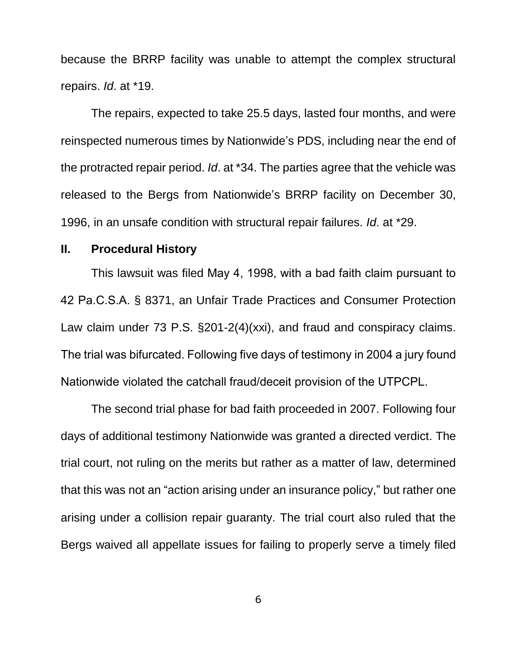because the BRRP facility was unable to attempt the complex structural repairs. *Id*. at \*19.

The repairs, expected to take 25.5 days, lasted four months, and were reinspected numerous times by Nationwide's PDS, including near the end of the protracted repair period. *Id*. at \*34. The parties agree that the vehicle was released to the Bergs from Nationwide's BRRP facility on December 30, 1996, in an unsafe condition with structural repair failures. *Id*. at \*29.

#### **II. Procedural History**

This lawsuit was filed May 4, 1998, with a bad faith claim pursuant to 42 Pa.C.S.A. § 8371, an Unfair Trade Practices and Consumer Protection Law claim under 73 P.S. §201-2(4)(xxi), and fraud and conspiracy claims. The trial was bifurcated. Following five days of testimony in 2004 a jury found Nationwide violated the catchall fraud/deceit provision of the UTPCPL.

The second trial phase for bad faith proceeded in 2007. Following four days of additional testimony Nationwide was granted a directed verdict. The trial court, not ruling on the merits but rather as a matter of law, determined that this was not an "action arising under an insurance policy," but rather one arising under a collision repair guaranty. The trial court also ruled that the Bergs waived all appellate issues for failing to properly serve a timely filed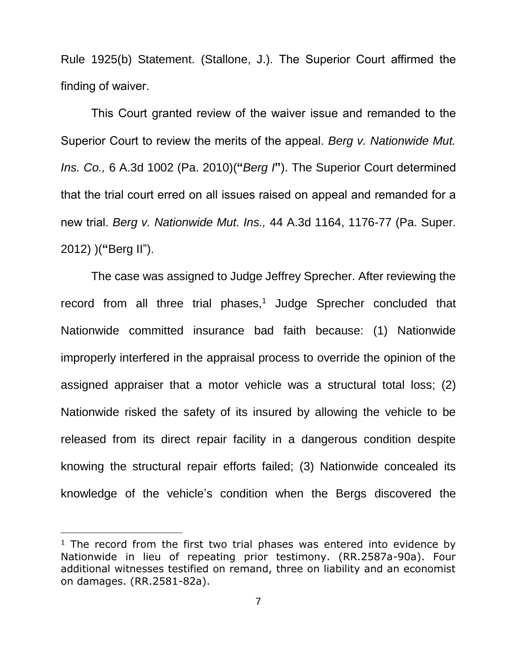Rule 1925(b) Statement. (Stallone, J.). The Superior Court affirmed the finding of waiver.

This Court granted review of the waiver issue and remanded to the Superior Court to review the merits of the appeal. *Berg v. Nationwide Mut. Ins. Co.,* 6 A.3d 1002 (Pa. 2010)(**"***Berg I***"**). The Superior Court determined that the trial court erred on all issues raised on appeal and remanded for a new trial. *Berg v. Nationwide Mut. Ins.,* 44 A.3d 1164, 1176-77 (Pa. Super. 2012) )(**"**Berg II").

The case was assigned to Judge Jeffrey Sprecher. After reviewing the record from all three trial phases,<sup>1</sup> Judge Sprecher concluded that Nationwide committed insurance bad faith because: (1) Nationwide improperly interfered in the appraisal process to override the opinion of the assigned appraiser that a motor vehicle was a structural total loss; (2) Nationwide risked the safety of its insured by allowing the vehicle to be released from its direct repair facility in a dangerous condition despite knowing the structural repair efforts failed; (3) Nationwide concealed its knowledge of the vehicle's condition when the Bergs discovered the

 $\overline{a}$ 

 $1$  The record from the first two trial phases was entered into evidence by Nationwide in lieu of repeating prior testimony. (RR.2587a-90a). Four additional witnesses testified on remand, three on liability and an economist on damages. (RR.2581-82a).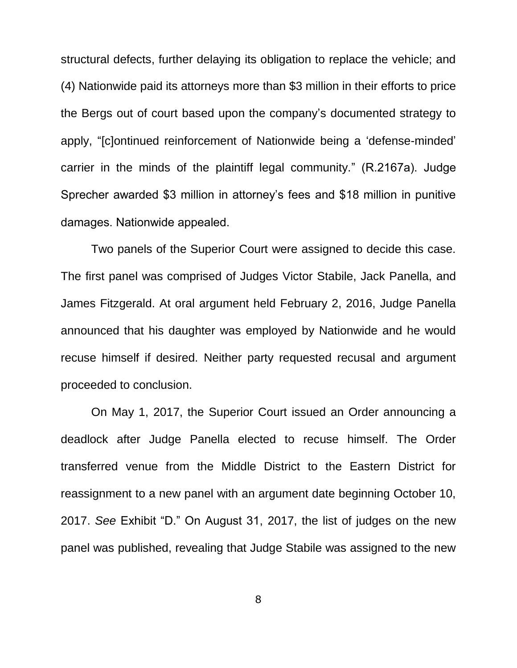structural defects, further delaying its obligation to replace the vehicle; and (4) Nationwide paid its attorneys more than \$3 million in their efforts to price the Bergs out of court based upon the company's documented strategy to apply, "[c]ontinued reinforcement of Nationwide being a 'defense-minded' carrier in the minds of the plaintiff legal community." (R.2167a). Judge Sprecher awarded \$3 million in attorney's fees and \$18 million in punitive damages. Nationwide appealed.

Two panels of the Superior Court were assigned to decide this case. The first panel was comprised of Judges Victor Stabile, Jack Panella, and James Fitzgerald. At oral argument held February 2, 2016, Judge Panella announced that his daughter was employed by Nationwide and he would recuse himself if desired. Neither party requested recusal and argument proceeded to conclusion.

On May 1, 2017, the Superior Court issued an Order announcing a deadlock after Judge Panella elected to recuse himself. The Order transferred venue from the Middle District to the Eastern District for reassignment to a new panel with an argument date beginning October 10, 2017. *See* Exhibit "D." On August 31, 2017, the list of judges on the new panel was published, revealing that Judge Stabile was assigned to the new

8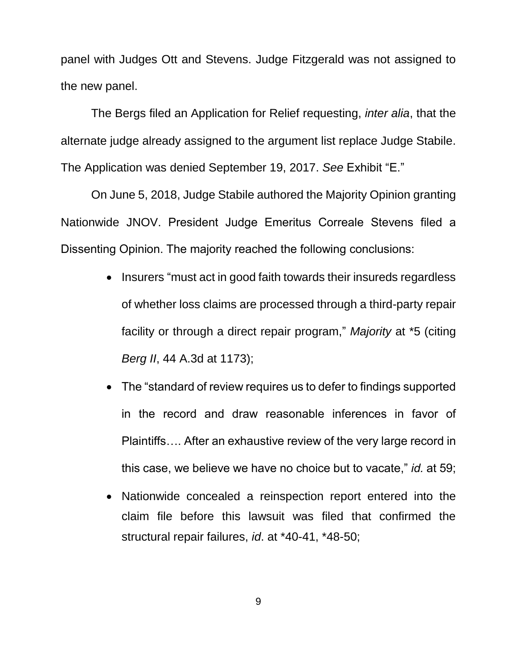panel with Judges Ott and Stevens. Judge Fitzgerald was not assigned to the new panel.

The Bergs filed an Application for Relief requesting, *inter alia*, that the alternate judge already assigned to the argument list replace Judge Stabile. The Application was denied September 19, 2017. *See* Exhibit "E."

On June 5, 2018, Judge Stabile authored the Majority Opinion granting Nationwide JNOV. President Judge Emeritus Correale Stevens filed a Dissenting Opinion. The majority reached the following conclusions:

- Insurers "must act in good faith towards their insureds regardless of whether loss claims are processed through a third-party repair facility or through a direct repair program," *Majority* at \*5 (citing *Berg II*, 44 A.3d at 1173);
- The "standard of review requires us to defer to findings supported in the record and draw reasonable inferences in favor of Plaintiffs…. After an exhaustive review of the very large record in this case, we believe we have no choice but to vacate," *id.* at 59;
- Nationwide concealed a reinspection report entered into the claim file before this lawsuit was filed that confirmed the structural repair failures, *id*. at \*40-41, \*48-50;

9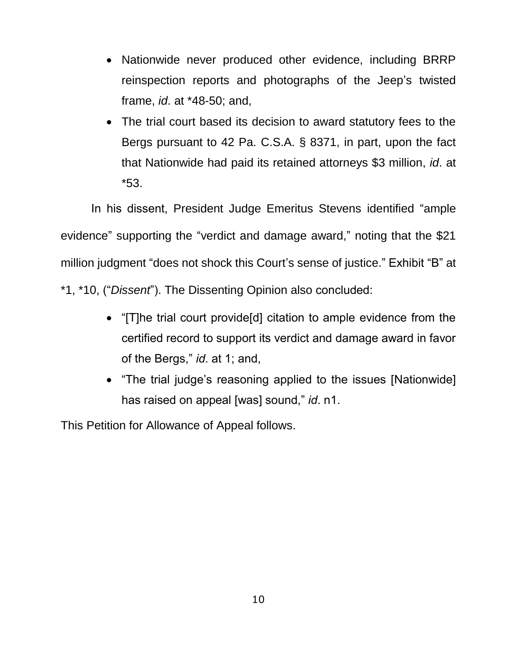- Nationwide never produced other evidence, including BRRP reinspection reports and photographs of the Jeep's twisted frame, *id*. at \*48-50; and,
- The trial court based its decision to award statutory fees to the Bergs pursuant to 42 Pa. C.S.A. § 8371, in part, upon the fact that Nationwide had paid its retained attorneys \$3 million, *id*. at \*53.

In his dissent, President Judge Emeritus Stevens identified "ample evidence" supporting the "verdict and damage award," noting that the \$21 million judgment "does not shock this Court's sense of justice." Exhibit "B" at \*1, \*10, ("*Dissent*"). The Dissenting Opinion also concluded:

- "[T]he trial court provide[d] citation to ample evidence from the certified record to support its verdict and damage award in favor of the Bergs," *id*. at 1; and,
- "The trial judge's reasoning applied to the issues [Nationwide] has raised on appeal [was] sound," *id*. n1.

This Petition for Allowance of Appeal follows.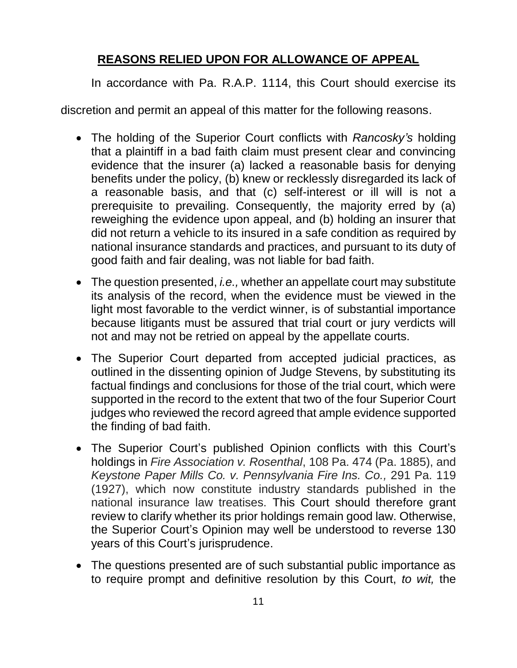## **REASONS RELIED UPON FOR ALLOWANCE OF APPEAL**

In accordance with Pa. R.A.P. 1114, this Court should exercise its

discretion and permit an appeal of this matter for the following reasons.

- The holding of the Superior Court conflicts with *Rancosky's* holding that a plaintiff in a bad faith claim must present clear and convincing evidence that the insurer (a) lacked a reasonable basis for denying benefits under the policy, (b) knew or recklessly disregarded its lack of a reasonable basis, and that (c) self-interest or ill will is not a prerequisite to prevailing. Consequently, the majority erred by (a) reweighing the evidence upon appeal, and (b) holding an insurer that did not return a vehicle to its insured in a safe condition as required by national insurance standards and practices, and pursuant to its duty of good faith and fair dealing, was not liable for bad faith.
- The question presented, *i.e.,* whether an appellate court may substitute its analysis of the record, when the evidence must be viewed in the light most favorable to the verdict winner, is of substantial importance because litigants must be assured that trial court or jury verdicts will not and may not be retried on appeal by the appellate courts.
- The Superior Court departed from accepted judicial practices, as outlined in the dissenting opinion of Judge Stevens, by substituting its factual findings and conclusions for those of the trial court, which were supported in the record to the extent that two of the four Superior Court judges who reviewed the record agreed that ample evidence supported the finding of bad faith.
- The Superior Court's published Opinion conflicts with this Court's holdings in *Fire Association v. Rosenthal*, 108 Pa. 474 (Pa. 1885), and *Keystone Paper Mills Co. v. Pennsylvania Fire Ins. Co.,* 291 Pa. 119 (1927), which now constitute industry standards published in the national insurance law treatises. This Court should therefore grant review to clarify whether its prior holdings remain good law. Otherwise, the Superior Court's Opinion may well be understood to reverse 130 years of this Court's jurisprudence.
- The questions presented are of such substantial public importance as to require prompt and definitive resolution by this Court, *to wit,* the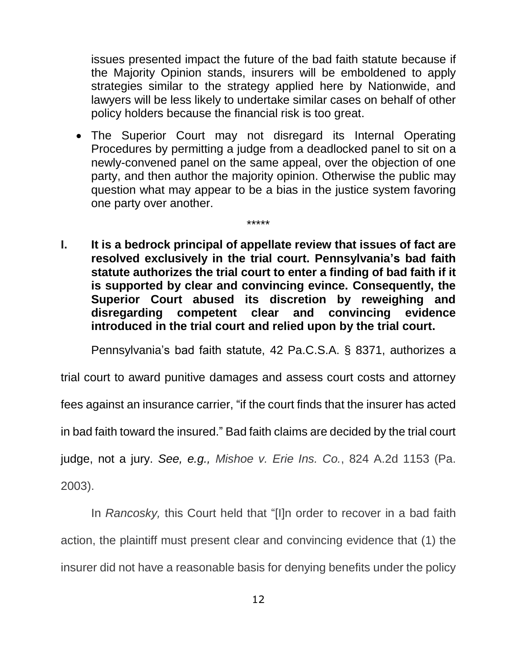issues presented impact the future of the bad faith statute because if the Majority Opinion stands, insurers will be emboldened to apply strategies similar to the strategy applied here by Nationwide, and lawyers will be less likely to undertake similar cases on behalf of other policy holders because the financial risk is too great.

- The Superior Court may not disregard its Internal Operating Procedures by permitting a judge from a deadlocked panel to sit on a newly-convened panel on the same appeal, over the objection of one party, and then author the majority opinion. Otherwise the public may question what may appear to be a bias in the justice system favoring one party over another.
- **I. It is a bedrock principal of appellate review that issues of fact are resolved exclusively in the trial court. Pennsylvania's bad faith statute authorizes the trial court to enter a finding of bad faith if it is supported by clear and convincing evince. Consequently, the Superior Court abused its discretion by reweighing and disregarding competent clear and convincing evidence introduced in the trial court and relied upon by the trial court.**

\*\*\*\*\*

Pennsylvania's bad faith statute, 42 Pa.C.S.A. § 8371, authorizes a

trial court to award punitive damages and assess court costs and attorney

fees against an insurance carrier, "if the court finds that the insurer has acted

in bad faith toward the insured." Bad faith claims are decided by the trial court

judge, not a jury. *See, e.g., Mishoe v. Erie Ins. Co.*, 824 A.2d 1153 (Pa.

2003).

In *Rancosky,* this Court held that "[I]n order to recover in a bad faith action, the plaintiff must present clear and convincing evidence that (1) the insurer did not have a reasonable basis for denying benefits under the policy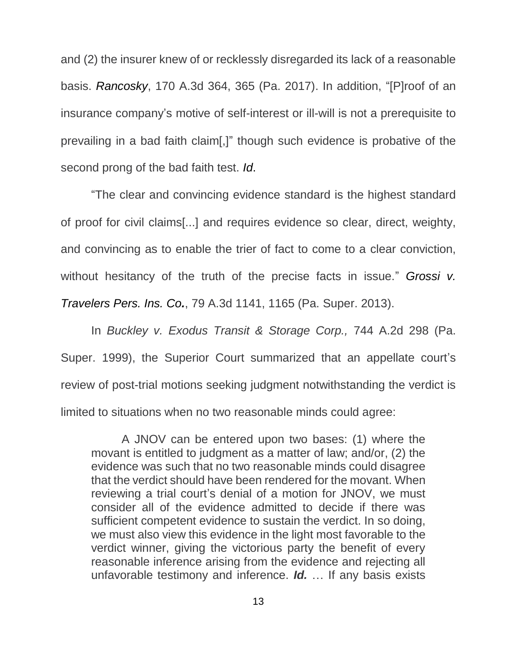and (2) the insurer knew of or recklessly disregarded its lack of a reasonable basis. *Rancosky*, 170 A.3d 364, 365 (Pa. 2017). In addition, "[P]roof of an insurance company's motive of self-interest or ill-will is not a prerequisite to prevailing in a bad faith claim[,]" though such evidence is probative of the second prong of the bad faith test. *Id*.

"The clear and convincing evidence standard is the highest standard of proof for civil claims[...] and requires evidence so clear, direct, weighty, and convincing as to enable the trier of fact to come to a clear conviction, without hesitancy of the truth of the precise facts in issue." *Grossi v. Travelers Pers. Ins. Co.*, 79 A.3d 1141, 1165 (Pa. Super. 2013).

In *Buckley v. Exodus Transit & Storage Corp.,* 744 A.2d 298 (Pa. Super. 1999), the Superior Court summarized that an appellate court's review of post-trial motions seeking judgment notwithstanding the verdict is limited to situations when no two reasonable minds could agree:

A JNOV can be entered upon two bases: (1) where the movant is entitled to judgment as a matter of law; and/or, (2) the evidence was such that no two reasonable minds could disagree that the verdict should have been rendered for the movant. When reviewing a trial court's denial of a motion for JNOV, we must consider all of the evidence admitted to decide if there was sufficient competent evidence to sustain the verdict. In so doing, we must also view this evidence in the light most favorable to the verdict winner, giving the victorious party the benefit of every reasonable inference arising from the evidence and rejecting all unfavorable testimony and inference. *Id.* … If any basis exists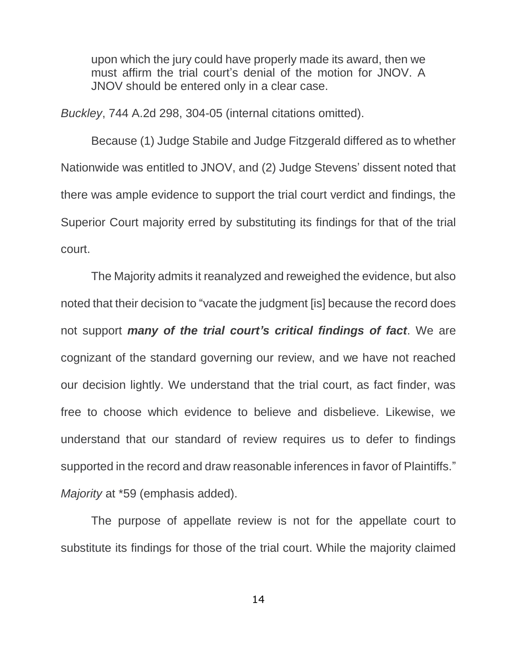upon which the jury could have properly made its award, then we must affirm the trial court's denial of the motion for JNOV. A JNOV should be entered only in a clear case.

*Buckley*, 744 A.2d 298, 304-05 (internal citations omitted).

Because (1) Judge Stabile and Judge Fitzgerald differed as to whether Nationwide was entitled to JNOV, and (2) Judge Stevens' dissent noted that there was ample evidence to support the trial court verdict and findings, the Superior Court majority erred by substituting its findings for that of the trial court.

The Majority admits it reanalyzed and reweighed the evidence, but also noted that their decision to "vacate the judgment [is] because the record does not support *many of the trial court's critical findings of fact*. We are cognizant of the standard governing our review, and we have not reached our decision lightly. We understand that the trial court, as fact finder, was free to choose which evidence to believe and disbelieve. Likewise, we understand that our standard of review requires us to defer to findings supported in the record and draw reasonable inferences in favor of Plaintiffs." *Majority* at \*59 (emphasis added).

The purpose of appellate review is not for the appellate court to substitute its findings for those of the trial court. While the majority claimed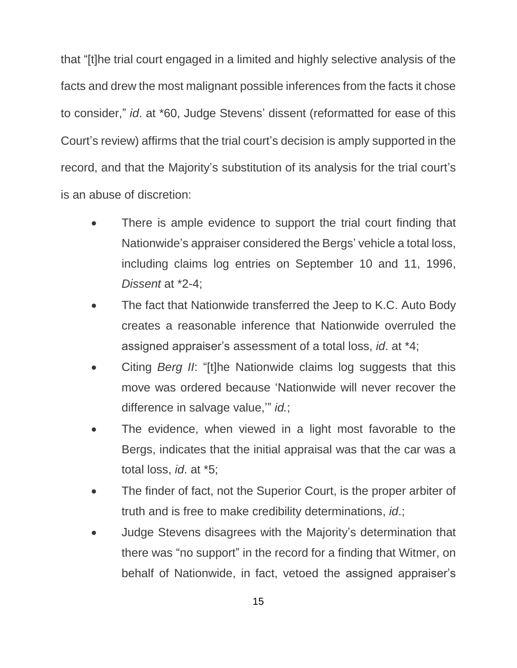that "[t]he trial court engaged in a limited and highly selective analysis of the facts and drew the most malignant possible inferences from the facts it chose to consider," *id*. at \*60, Judge Stevens' dissent (reformatted for ease of this Court's review) affirms that the trial court's decision is amply supported in the record, and that the Majority's substitution of its analysis for the trial court's is an abuse of discretion:

- There is ample evidence to support the trial court finding that Nationwide's appraiser considered the Bergs' vehicle a total loss, including claims log entries on September 10 and 11, 1996, *Dissent* at \*2-4;
- The fact that Nationwide transferred the Jeep to K.C. Auto Body creates a reasonable inference that Nationwide overruled the assigned appraiser's assessment of a total loss, *id*. at \*4;
- Citing *Berg II*: "[t]he Nationwide claims log suggests that this move was ordered because 'Nationwide will never recover the difference in salvage value,'" *id.*;
- The evidence, when viewed in a light most favorable to the Bergs, indicates that the initial appraisal was that the car was a total loss, *id*. at \*5;
- The finder of fact, not the Superior Court, is the proper arbiter of truth and is free to make credibility determinations, *id*.;
- Judge Stevens disagrees with the Majority's determination that there was "no support" in the record for a finding that Witmer, on behalf of Nationwide, in fact, vetoed the assigned appraiser's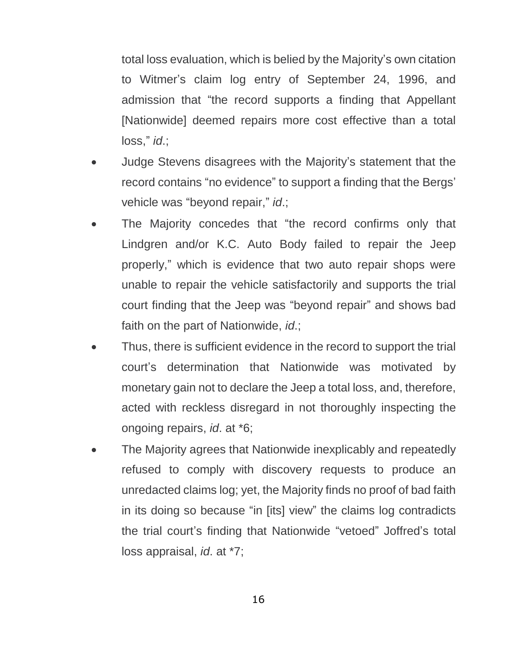total loss evaluation, which is belied by the Majority's own citation to Witmer's claim log entry of September 24, 1996, and admission that "the record supports a finding that Appellant [Nationwide] deemed repairs more cost effective than a total loss," *id*.;

- Judge Stevens disagrees with the Majority's statement that the record contains "no evidence" to support a finding that the Bergs' vehicle was "beyond repair," *id*.;
- The Majority concedes that "the record confirms only that Lindgren and/or K.C. Auto Body failed to repair the Jeep properly," which is evidence that two auto repair shops were unable to repair the vehicle satisfactorily and supports the trial court finding that the Jeep was "beyond repair" and shows bad faith on the part of Nationwide, *id*.;
- Thus, there is sufficient evidence in the record to support the trial court's determination that Nationwide was motivated by monetary gain not to declare the Jeep a total loss, and, therefore, acted with reckless disregard in not thoroughly inspecting the ongoing repairs, *id*. at \*6;
- The Majority agrees that Nationwide inexplicably and repeatedly refused to comply with discovery requests to produce an unredacted claims log; yet, the Majority finds no proof of bad faith in its doing so because "in [its] view" the claims log contradicts the trial court's finding that Nationwide "vetoed" Joffred's total loss appraisal, *id*. at \*7;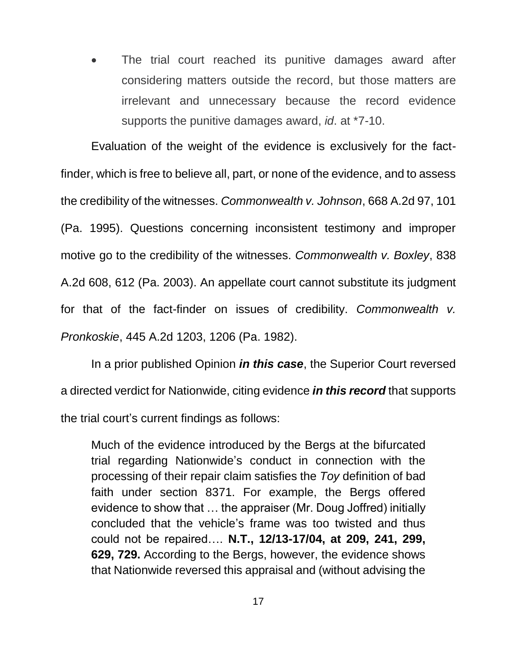The trial court reached its punitive damages award after considering matters outside the record, but those matters are irrelevant and unnecessary because the record evidence supports the punitive damages award, *id*. at \*7-10.

Evaluation of the weight of the evidence is exclusively for the factfinder, which is free to believe all, part, or none of the evidence, and to assess the credibility of the witnesses. *Commonwealth v. Johnson*, 668 A.2d 97, 101 (Pa. 1995). Questions concerning inconsistent testimony and improper motive go to the credibility of the witnesses. *Commonwealth v. Boxley*, 838 A.2d 608, 612 (Pa. 2003). An appellate court cannot substitute its judgment for that of the fact-finder on issues of credibility. *Commonwealth v. Pronkoskie*, 445 A.2d 1203, 1206 (Pa. 1982).

In a prior published Opinion *in this case*, the Superior Court reversed a directed verdict for Nationwide, citing evidence *in this record* that supports the trial court's current findings as follows:

Much of the evidence introduced by the Bergs at the bifurcated trial regarding Nationwide's conduct in connection with the processing of their repair claim satisfies the *Toy* definition of bad faith under section 8371. For example, the Bergs offered evidence to show that … the appraiser (Mr. Doug Joffred) initially concluded that the vehicle's frame was too twisted and thus could not be repaired…. **N.T., 12/13-17/04, at 209, 241, 299, 629, 729.** According to the Bergs, however, the evidence shows that Nationwide reversed this appraisal and (without advising the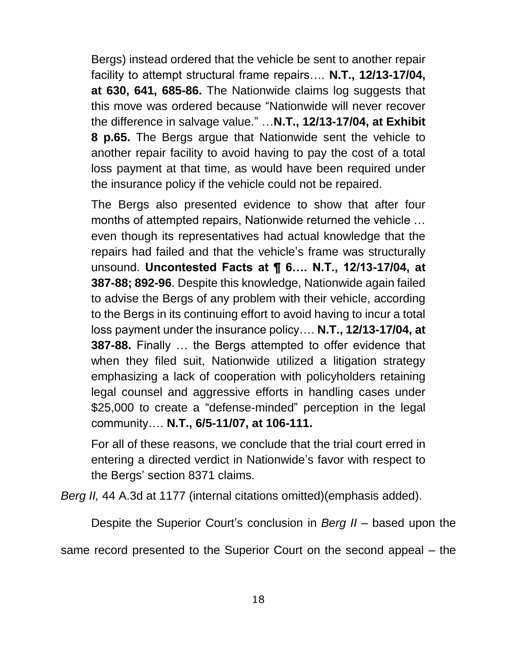Bergs) instead ordered that the vehicle be sent to another repair facility to attempt structural frame repairs…. **N.T., 12/13-17/04, at 630, 641, 685-86.** The Nationwide claims log suggests that this move was ordered because "Nationwide will never recover the difference in salvage value." …**N.T., 12/13-17/04, at Exhibit 8 p.65.** The Bergs argue that Nationwide sent the vehicle to another repair facility to avoid having to pay the cost of a total loss payment at that time, as would have been required under the insurance policy if the vehicle could not be repaired.

The Bergs also presented evidence to show that after four months of attempted repairs, Nationwide returned the vehicle … even though its representatives had actual knowledge that the repairs had failed and that the vehicle's frame was structurally unsound. **Uncontested Facts at ¶ 6…. N.T., 12/13-17/04, at 387-88; 892-96**. Despite this knowledge, Nationwide again failed to advise the Bergs of any problem with their vehicle, according to the Bergs in its continuing effort to avoid having to incur a total loss payment under the insurance policy…. **N.T., 12/13-17/04, at 387-88.** Finally … the Bergs attempted to offer evidence that when they filed suit, Nationwide utilized a litigation strategy emphasizing a lack of cooperation with policyholders retaining legal counsel and aggressive efforts in handling cases under \$25,000 to create a "defense-minded" perception in the legal community…. **N.T., 6/5-11/07, at 106-111.** 

For all of these reasons, we conclude that the trial court erred in entering a directed verdict in Nationwide's favor with respect to the Bergs' section 8371 claims.

*Berg II,* 44 A.3d at 1177 (internal citations omitted)(emphasis added).

Despite the Superior Court's conclusion in *Berg II* – based upon the

same record presented to the Superior Court on the second appeal – the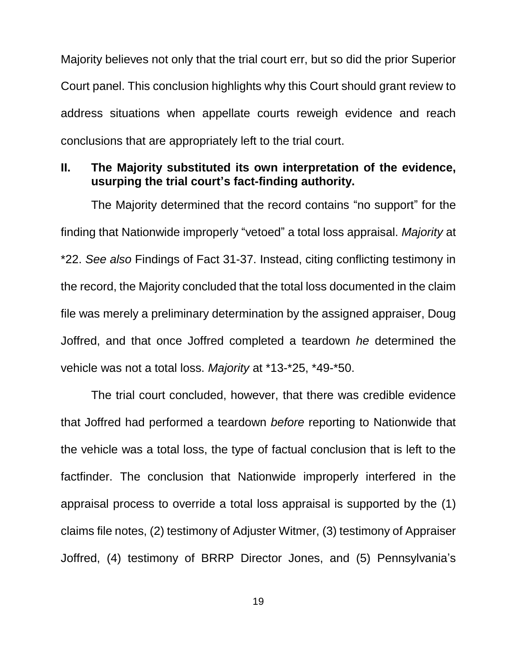Majority believes not only that the trial court err, but so did the prior Superior Court panel. This conclusion highlights why this Court should grant review to address situations when appellate courts reweigh evidence and reach conclusions that are appropriately left to the trial court.

### **II. The Majority substituted its own interpretation of the evidence, usurping the trial court's fact-finding authority.**

The Majority determined that the record contains "no support" for the finding that Nationwide improperly "vetoed" a total loss appraisal. *Majority* at \*22. *See also* Findings of Fact 31-37. Instead, citing conflicting testimony in the record, the Majority concluded that the total loss documented in the claim file was merely a preliminary determination by the assigned appraiser, Doug Joffred, and that once Joffred completed a teardown *he* determined the vehicle was not a total loss. *Majority* at \*13-\*25, \*49-\*50.

The trial court concluded, however, that there was credible evidence that Joffred had performed a teardown *before* reporting to Nationwide that the vehicle was a total loss, the type of factual conclusion that is left to the factfinder. The conclusion that Nationwide improperly interfered in the appraisal process to override a total loss appraisal is supported by the (1) claims file notes, (2) testimony of Adjuster Witmer, (3) testimony of Appraiser Joffred, (4) testimony of BRRP Director Jones, and (5) Pennsylvania's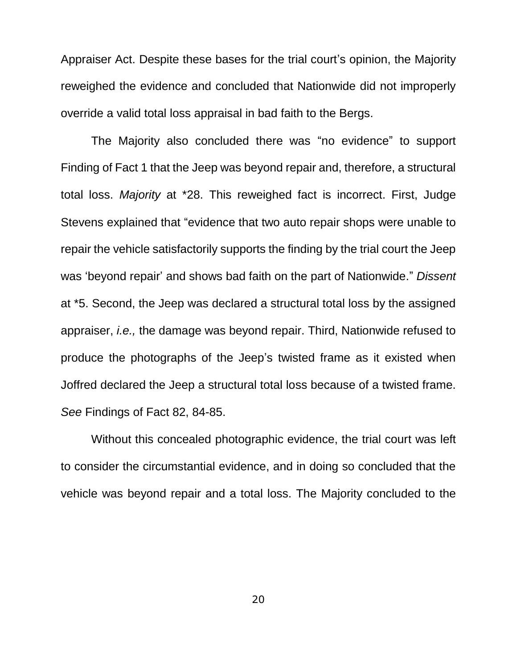Appraiser Act. Despite these bases for the trial court's opinion, the Majority reweighed the evidence and concluded that Nationwide did not improperly override a valid total loss appraisal in bad faith to the Bergs.

The Majority also concluded there was "no evidence" to support Finding of Fact 1 that the Jeep was beyond repair and, therefore, a structural total loss. *Majority* at \*28. This reweighed fact is incorrect. First, Judge Stevens explained that "evidence that two auto repair shops were unable to repair the vehicle satisfactorily supports the finding by the trial court the Jeep was 'beyond repair' and shows bad faith on the part of Nationwide." *Dissent* at \*5. Second, the Jeep was declared a structural total loss by the assigned appraiser, *i.e.,* the damage was beyond repair. Third, Nationwide refused to produce the photographs of the Jeep's twisted frame as it existed when Joffred declared the Jeep a structural total loss because of a twisted frame. *See* Findings of Fact 82, 84-85.

Without this concealed photographic evidence, the trial court was left to consider the circumstantial evidence, and in doing so concluded that the vehicle was beyond repair and a total loss. The Majority concluded to the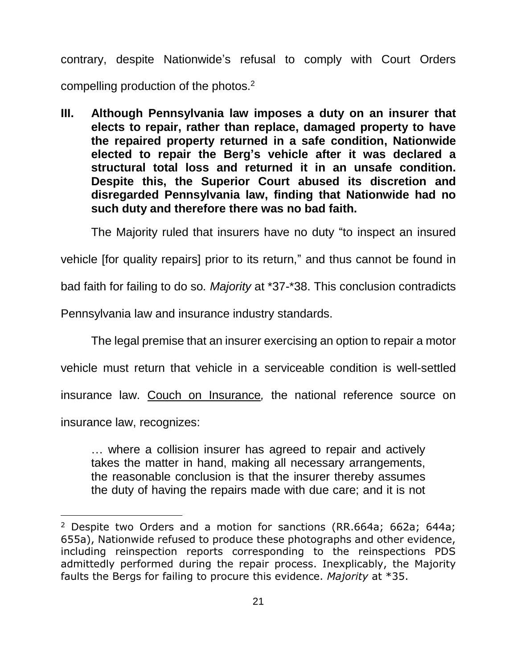contrary, despite Nationwide's refusal to comply with Court Orders compelling production of the photos.<sup>2</sup>

**III. Although Pennsylvania law imposes a duty on an insurer that elects to repair, rather than replace, damaged property to have the repaired property returned in a safe condition, Nationwide elected to repair the Berg's vehicle after it was declared a structural total loss and returned it in an unsafe condition. Despite this, the Superior Court abused its discretion and disregarded Pennsylvania law, finding that Nationwide had no such duty and therefore there was no bad faith.**

The Majority ruled that insurers have no duty "to inspect an insured

vehicle [for quality repairs] prior to its return," and thus cannot be found in

bad faith for failing to do so*. Majority* at \*37-\*38. This conclusion contradicts

Pennsylvania law and insurance industry standards.

The legal premise that an insurer exercising an option to repair a motor vehicle must return that vehicle in a serviceable condition is well-settled insurance law. Couch on Insurance*,* the national reference source on

insurance law, recognizes:

 $\overline{a}$ 

… where a collision insurer has agreed to repair and actively takes the matter in hand, making all necessary arrangements, the reasonable conclusion is that the insurer thereby assumes the duty of having the repairs made with due care; and it is not

<sup>&</sup>lt;sup>2</sup> Despite two Orders and a motion for sanctions (RR.664a; 662a; 644a; 655a), Nationwide refused to produce these photographs and other evidence, including reinspection reports corresponding to the reinspections PDS admittedly performed during the repair process. Inexplicably, the Majority faults the Bergs for failing to procure this evidence. *Majority* at \*35.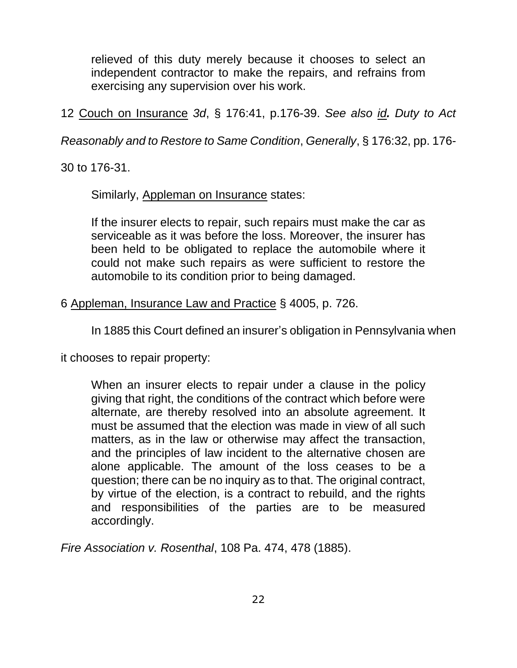relieved of this duty merely because it chooses to select an independent contractor to make the repairs, and refrains from exercising any supervision over his work.

12 Couch on Insurance *3d*, § 176:41, p.176-39. *See also id. Duty to Act* 

*Reasonably and to Restore to Same Condition*, *Generally*, § 176:32, pp. 176-

30 to 176-31.

Similarly, Appleman on Insurance states:

If the insurer elects to repair, such repairs must make the car as serviceable as it was before the loss. Moreover, the insurer has been held to be obligated to replace the automobile where it could not make such repairs as were sufficient to restore the automobile to its condition prior to being damaged.

6 Appleman, Insurance Law and Practice § 4005, p. 726.

In 1885 this Court defined an insurer's obligation in Pennsylvania when

it chooses to repair property:

When an insurer elects to repair under a clause in the policy giving that right, the conditions of the contract which before were alternate, are thereby resolved into an absolute agreement. It must be assumed that the election was made in view of all such matters, as in the law or otherwise may affect the transaction, and the principles of law incident to the alternative chosen are alone applicable. The amount of the loss ceases to be a question; there can be no inquiry as to that. The original contract, by virtue of the election, is a contract to rebuild, and the rights and responsibilities of the parties are to be measured accordingly.

*Fire Association v. Rosenthal*, 108 Pa. 474, 478 (1885).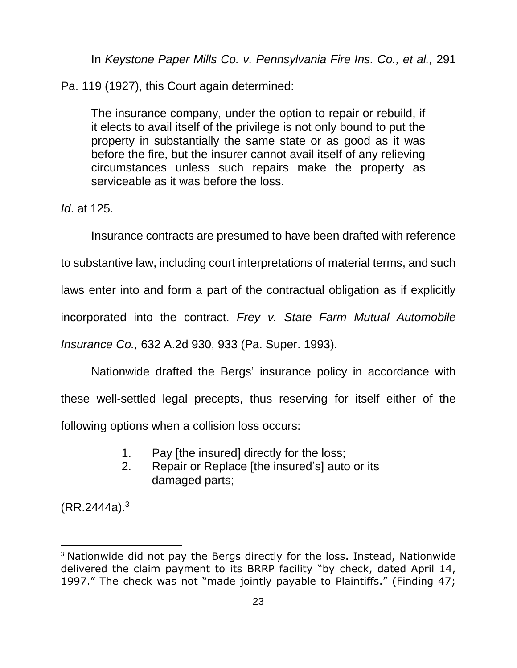In *Keystone Paper Mills Co. v. Pennsylvania Fire Ins. Co., et al.,* 291

Pa. 119 (1927), this Court again determined:

The insurance company, under the option to repair or rebuild, if it elects to avail itself of the privilege is not only bound to put the property in substantially the same state or as good as it was before the fire, but the insurer cannot avail itself of any relieving circumstances unless such repairs make the property as serviceable as it was before the loss.

*Id*. at 125.

Insurance contracts are presumed to have been drafted with reference

to substantive law, including court interpretations of material terms, and such

laws enter into and form a part of the contractual obligation as if explicitly

incorporated into the contract. *Frey v. State Farm Mutual Automobile* 

*Insurance Co.,* 632 A.2d 930, 933 (Pa. Super. 1993).

Nationwide drafted the Bergs' insurance policy in accordance with these well-settled legal precepts, thus reserving for itself either of the following options when a collision loss occurs:

- 1. Pay [the insured] directly for the loss;
- 2. Repair or Replace [the insured's] auto or its damaged parts;

 $(RR.2444a).<sup>3</sup>$ 

 $\overline{a}$ 

<sup>&</sup>lt;sup>3</sup> Nationwide did not pay the Bergs directly for the loss. Instead, Nationwide delivered the claim payment to its BRRP facility "by check, dated April 14, 1997." The check was not "made jointly payable to Plaintiffs." (Finding 47;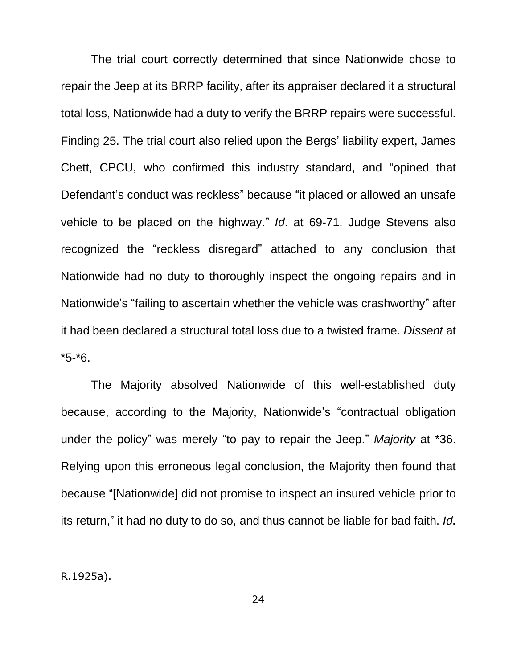The trial court correctly determined that since Nationwide chose to repair the Jeep at its BRRP facility, after its appraiser declared it a structural total loss, Nationwide had a duty to verify the BRRP repairs were successful. Finding 25. The trial court also relied upon the Bergs' liability expert, James Chett, CPCU, who confirmed this industry standard, and "opined that Defendant's conduct was reckless" because "it placed or allowed an unsafe vehicle to be placed on the highway." *Id*. at 69-71. Judge Stevens also recognized the "reckless disregard" attached to any conclusion that Nationwide had no duty to thoroughly inspect the ongoing repairs and in Nationwide's "failing to ascertain whether the vehicle was crashworthy" after it had been declared a structural total loss due to a twisted frame. *Dissent* at \*5-\*6.

The Majority absolved Nationwide of this well-established duty because, according to the Majority, Nationwide's "contractual obligation under the policy" was merely "to pay to repair the Jeep." *Majority* at \*36. Relying upon this erroneous legal conclusion, the Majority then found that because "[Nationwide] did not promise to inspect an insured vehicle prior to its return," it had no duty to do so, and thus cannot be liable for bad faith. *Id***.**

R.1925a).

 $\overline{a}$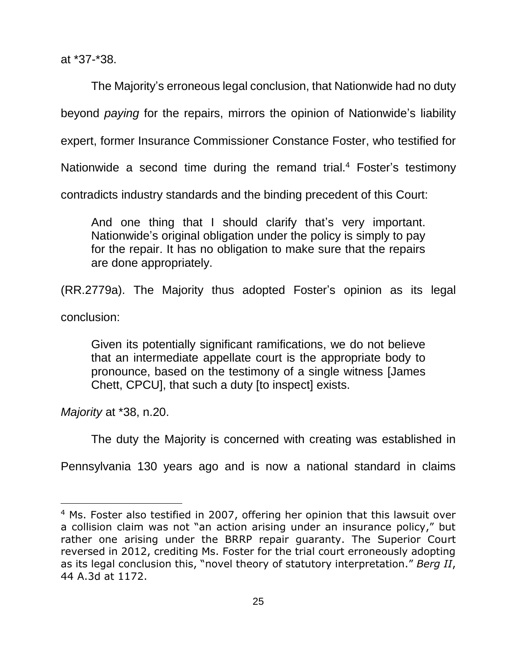at \*37-\*38.

The Majority's erroneous legal conclusion, that Nationwide had no duty beyond *paying* for the repairs, mirrors the opinion of Nationwide's liability expert, former Insurance Commissioner Constance Foster, who testified for Nationwide a second time during the remand trial.<sup>4</sup> Foster's testimony contradicts industry standards and the binding precedent of this Court:

And one thing that I should clarify that's very important. Nationwide's original obligation under the policy is simply to pay for the repair. It has no obligation to make sure that the repairs are done appropriately.

(RR.2779a). The Majority thus adopted Foster's opinion as its legal

conclusion:

 $\overline{a}$ 

Given its potentially significant ramifications, we do not believe that an intermediate appellate court is the appropriate body to pronounce, based on the testimony of a single witness [James Chett, CPCU], that such a duty [to inspect] exists.

*Majority* at \*38, n.20.

The duty the Majority is concerned with creating was established in

Pennsylvania 130 years ago and is now a national standard in claims

<sup>&</sup>lt;sup>4</sup> Ms. Foster also testified in 2007, offering her opinion that this lawsuit over a collision claim was not "an action arising under an insurance policy," but rather one arising under the BRRP repair guaranty. The Superior Court reversed in 2012, crediting Ms. Foster for the trial court erroneously adopting as its legal conclusion this, "novel theory of statutory interpretation." *Berg II*, 44 A.3d at 1172.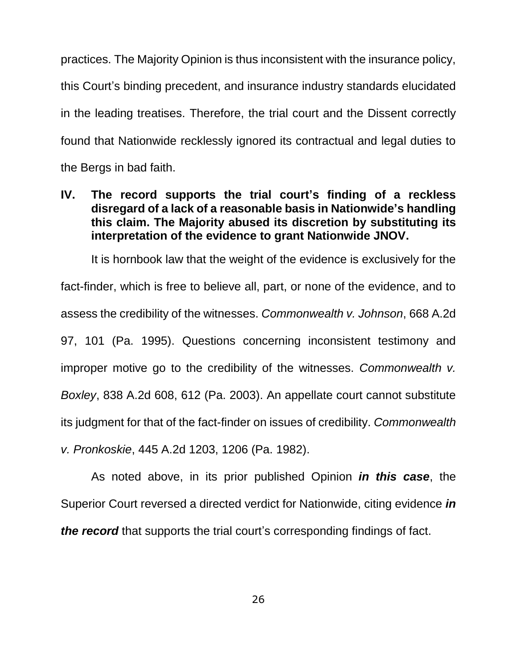practices. The Majority Opinion is thus inconsistent with the insurance policy, this Court's binding precedent, and insurance industry standards elucidated in the leading treatises. Therefore, the trial court and the Dissent correctly found that Nationwide recklessly ignored its contractual and legal duties to the Bergs in bad faith.

### **IV. The record supports the trial court's finding of a reckless disregard of a lack of a reasonable basis in Nationwide's handling this claim. The Majority abused its discretion by substituting its interpretation of the evidence to grant Nationwide JNOV.**

It is hornbook law that the weight of the evidence is exclusively for the fact-finder, which is free to believe all, part, or none of the evidence, and to assess the credibility of the witnesses. *Commonwealth v. Johnson*, 668 A.2d 97, 101 (Pa. 1995). Questions concerning inconsistent testimony and improper motive go to the credibility of the witnesses. *Commonwealth v. Boxley*, 838 A.2d 608, 612 (Pa. 2003). An appellate court cannot substitute its judgment for that of the fact-finder on issues of credibility. *Commonwealth v. Pronkoskie*, 445 A.2d 1203, 1206 (Pa. 1982).

As noted above, in its prior published Opinion *in this case*, the Superior Court reversed a directed verdict for Nationwide, citing evidence *in the record* that supports the trial court's corresponding findings of fact.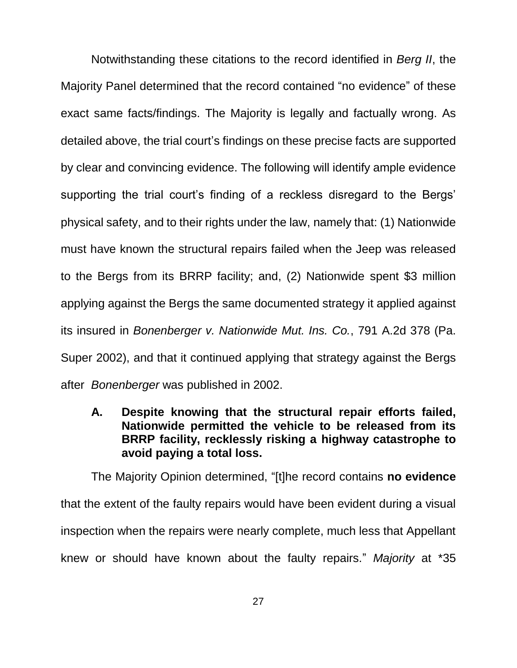Notwithstanding these citations to the record identified in *Berg II*, the Majority Panel determined that the record contained "no evidence" of these exact same facts/findings. The Majority is legally and factually wrong. As detailed above, the trial court's findings on these precise facts are supported by clear and convincing evidence. The following will identify ample evidence supporting the trial court's finding of a reckless disregard to the Bergs' physical safety, and to their rights under the law, namely that: (1) Nationwide must have known the structural repairs failed when the Jeep was released to the Bergs from its BRRP facility; and, (2) Nationwide spent \$3 million applying against the Bergs the same documented strategy it applied against its insured in *Bonenberger v. Nationwide Mut. Ins. Co.*, 791 A.2d 378 (Pa. Super 2002), and that it continued applying that strategy against the Bergs after *Bonenberger* was published in 2002.

**A. Despite knowing that the structural repair efforts failed, Nationwide permitted the vehicle to be released from its BRRP facility, recklessly risking a highway catastrophe to avoid paying a total loss.**

The Majority Opinion determined, "[t]he record contains **no evidence**  that the extent of the faulty repairs would have been evident during a visual inspection when the repairs were nearly complete, much less that Appellant knew or should have known about the faulty repairs." *Majority* at \*35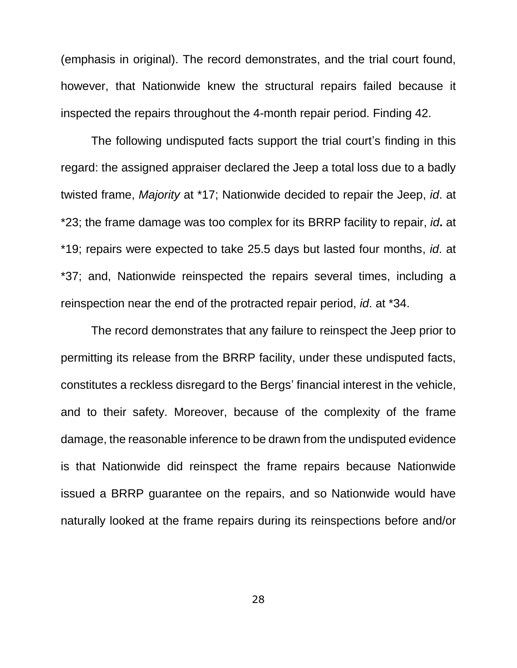(emphasis in original). The record demonstrates, and the trial court found, however, that Nationwide knew the structural repairs failed because it inspected the repairs throughout the 4-month repair period. Finding 42.

The following undisputed facts support the trial court's finding in this regard: the assigned appraiser declared the Jeep a total loss due to a badly twisted frame, *Majority* at \*17; Nationwide decided to repair the Jeep, *id*. at \*23; the frame damage was too complex for its BRRP facility to repair, *id***.** at \*19; repairs were expected to take 25.5 days but lasted four months, *id*. at \*37; and, Nationwide reinspected the repairs several times, including a reinspection near the end of the protracted repair period, *id*. at \*34.

The record demonstrates that any failure to reinspect the Jeep prior to permitting its release from the BRRP facility, under these undisputed facts, constitutes a reckless disregard to the Bergs' financial interest in the vehicle, and to their safety. Moreover, because of the complexity of the frame damage, the reasonable inference to be drawn from the undisputed evidence is that Nationwide did reinspect the frame repairs because Nationwide issued a BRRP guarantee on the repairs, and so Nationwide would have naturally looked at the frame repairs during its reinspections before and/or

28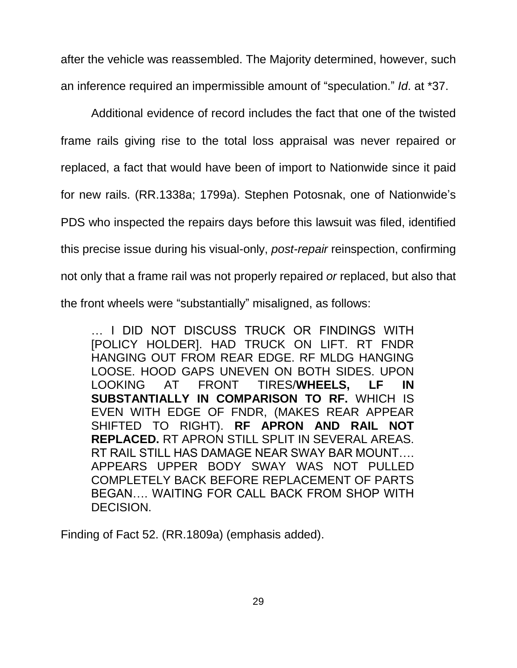after the vehicle was reassembled. The Majority determined, however, such an inference required an impermissible amount of "speculation." *Id*. at \*37.

Additional evidence of record includes the fact that one of the twisted frame rails giving rise to the total loss appraisal was never repaired or replaced, a fact that would have been of import to Nationwide since it paid for new rails. (RR.1338a; 1799a). Stephen Potosnak, one of Nationwide's PDS who inspected the repairs days before this lawsuit was filed, identified this precise issue during his visual-only, *post-repair* reinspection, confirming not only that a frame rail was not properly repaired *or* replaced, but also that the front wheels were "substantially" misaligned, as follows:

… I DID NOT DISCUSS TRUCK OR FINDINGS WITH [POLICY HOLDER]. HAD TRUCK ON LIFT. RT FNDR HANGING OUT FROM REAR EDGE. RF MLDG HANGING LOOSE. HOOD GAPS UNEVEN ON BOTH SIDES. UPON LOOKING AT FRONT TIRES/**WHEELS, LF IN SUBSTANTIALLY IN COMPARISON TO RF.** WHICH IS EVEN WITH EDGE OF FNDR, (MAKES REAR APPEAR SHIFTED TO RIGHT). **RF APRON AND RAIL NOT REPLACED.** RT APRON STILL SPLIT IN SEVERAL AREAS. RT RAIL STILL HAS DAMAGE NEAR SWAY BAR MOUNT…. APPEARS UPPER BODY SWAY WAS NOT PULLED COMPLETELY BACK BEFORE REPLACEMENT OF PARTS BEGAN…. WAITING FOR CALL BACK FROM SHOP WITH DECISION.

Finding of Fact 52. (RR.1809a) (emphasis added).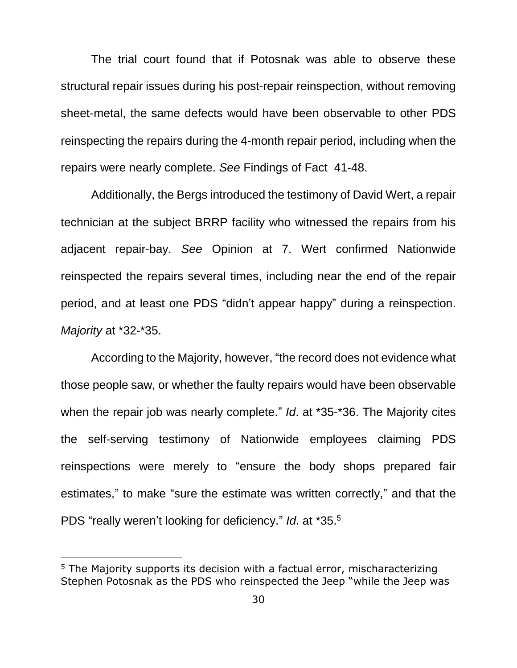The trial court found that if Potosnak was able to observe these structural repair issues during his post-repair reinspection, without removing sheet-metal, the same defects would have been observable to other PDS reinspecting the repairs during the 4-month repair period, including when the repairs were nearly complete. *See* Findings of Fact 41-48.

Additionally, the Bergs introduced the testimony of David Wert, a repair technician at the subject BRRP facility who witnessed the repairs from his adjacent repair-bay. *See* Opinion at 7. Wert confirmed Nationwide reinspected the repairs several times, including near the end of the repair period, and at least one PDS "didn't appear happy" during a reinspection. *Majority* at \*32-\*35.

According to the Majority, however, "the record does not evidence what those people saw, or whether the faulty repairs would have been observable when the repair job was nearly complete." *Id*. at \*35-\*36. The Majority cites the self-serving testimony of Nationwide employees claiming PDS reinspections were merely to "ensure the body shops prepared fair estimates," to make "sure the estimate was written correctly," and that the PDS "really weren't looking for deficiency." *Id*. at \*35.<sup>5</sup>

 $\overline{a}$ 

<sup>&</sup>lt;sup>5</sup> The Majority supports its decision with a factual error, mischaracterizing Stephen Potosnak as the PDS who reinspected the Jeep "while the Jeep was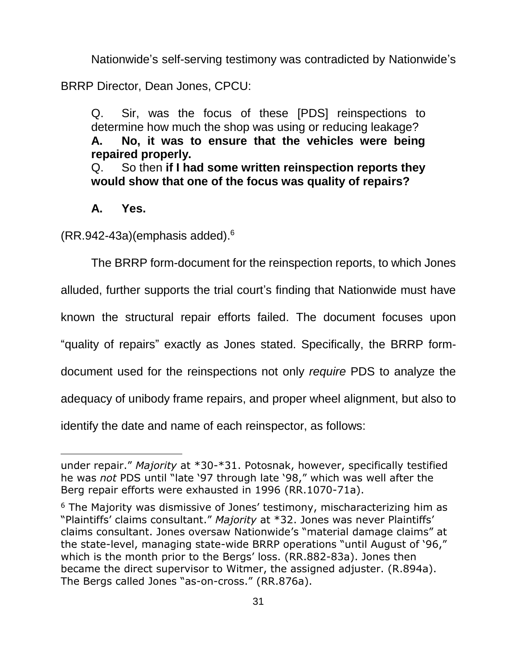Nationwide's self-serving testimony was contradicted by Nationwide's

BRRP Director, Dean Jones, CPCU:

Q. Sir, was the focus of these [PDS] reinspections to determine how much the shop was using or reducing leakage? **A. No, it was to ensure that the vehicles were being repaired properly.**

Q. So then **if I had some written reinspection reports they would show that one of the focus was quality of repairs?**

## **A. Yes.**

 $\overline{a}$ 

 $(RR.942-43a)$ (emphasis added).<sup>6</sup>

The BRRP form-document for the reinspection reports, to which Jones alluded, further supports the trial court's finding that Nationwide must have known the structural repair efforts failed. The document focuses upon "quality of repairs" exactly as Jones stated. Specifically, the BRRP formdocument used for the reinspections not only *require* PDS to analyze the adequacy of unibody frame repairs, and proper wheel alignment, but also to identify the date and name of each reinspector, as follows:

under repair." *Majority* at \*30-\*31. Potosnak, however, specifically testified he was *not* PDS until "late '97 through late '98," which was well after the Berg repair efforts were exhausted in 1996 (RR.1070-71a).

<sup>&</sup>lt;sup>6</sup> The Majority was dismissive of Jones' testimony, mischaracterizing him as "Plaintiffs' claims consultant." *Majority* at \*32. Jones was never Plaintiffs' claims consultant. Jones oversaw Nationwide's "material damage claims" at the state-level, managing state-wide BRRP operations "until August of '96," which is the month prior to the Bergs' loss. (RR.882-83a). Jones then became the direct supervisor to Witmer, the assigned adjuster. (R.894a). The Bergs called Jones "as-on-cross." (RR.876a).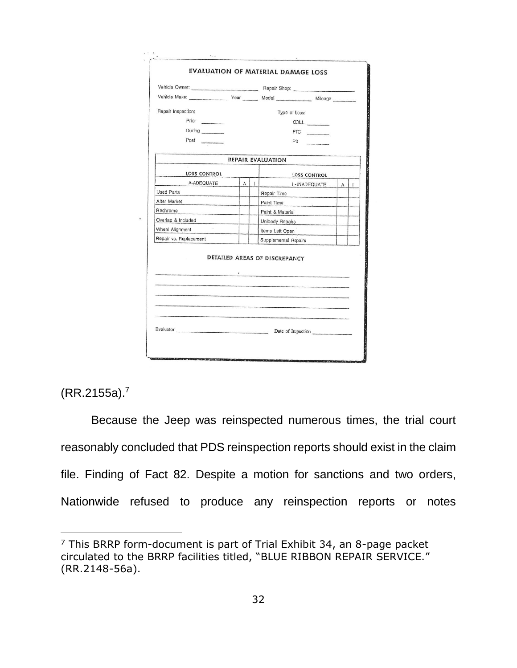|                                                                                                                                                                                                                                                    |   |         | Vehicle Make: Vear Model Mileage Mileage |   |         |
|----------------------------------------------------------------------------------------------------------------------------------------------------------------------------------------------------------------------------------------------------|---|---------|------------------------------------------|---|---------|
| Repair Inspection:                                                                                                                                                                                                                                 |   |         | Type of Loss:                            |   |         |
| Prior                                                                                                                                                                                                                                              |   |         | COLL _______                             |   |         |
| During                                                                                                                                                                                                                                             |   |         | FTC                                      |   |         |
| Post                                                                                                                                                                                                                                               |   |         | <b>PD</b>                                |   |         |
|                                                                                                                                                                                                                                                    |   |         | <b>REPAIR EVALUATION</b>                 |   |         |
| LOSS CONTROL                                                                                                                                                                                                                                       |   |         | <b>LOSS CONTROL</b>                      |   |         |
| A-ADEQUATE                                                                                                                                                                                                                                         | A | $\perp$ | I - INADEQUATE                           | A | $\perp$ |
| Used Parts<br><b>Contract Contract Contract Contract Contract Contract Contract Contract Contract Contract Contract Contract Contract Contract Contract Contract Contract Contract Contract Contract Contract Contract Contract Contract Contr</b> |   |         | Repair Time                              |   |         |
| After Market                                                                                                                                                                                                                                       |   |         | Paint Time                               |   |         |
| Rechrome                                                                                                                                                                                                                                           |   |         | Paint & Material                         |   |         |
| Overlap & Included                                                                                                                                                                                                                                 |   |         | Unibody Repairs                          |   |         |
| Wheel Alignment                                                                                                                                                                                                                                    |   |         | Items Left Open                          |   |         |
| Repair vs. Replacement                                                                                                                                                                                                                             |   |         | Supplemental Repairs                     |   |         |
|                                                                                                                                                                                                                                                    |   |         | DETAILED AREAS OF DISCREPANCY            |   |         |
|                                                                                                                                                                                                                                                    |   |         |                                          |   |         |
|                                                                                                                                                                                                                                                    |   |         | Evaluator Date of Inspection             |   |         |

(RR.2155a).<sup>7</sup>

 $\overline{a}$ 

Because the Jeep was reinspected numerous times, the trial court reasonably concluded that PDS reinspection reports should exist in the claim file. Finding of Fact 82. Despite a motion for sanctions and two orders, Nationwide refused to produce any reinspection reports or notes

 $7$  This BRRP form-document is part of Trial Exhibit 34, an 8-page packet circulated to the BRRP facilities titled, "BLUE RIBBON REPAIR SERVICE." (RR.2148-56a).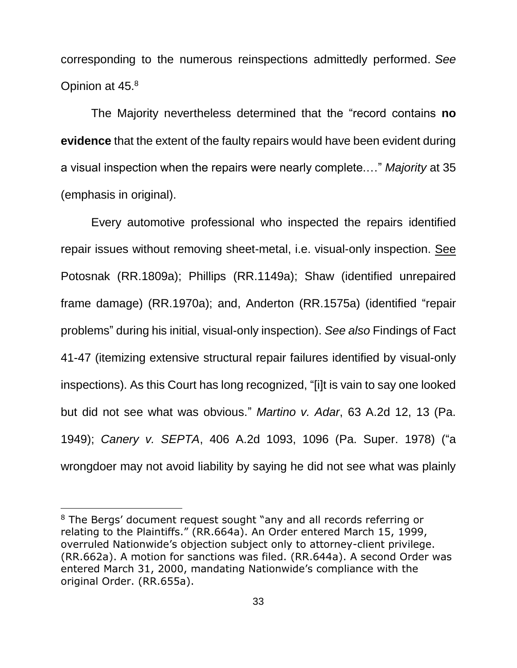corresponding to the numerous reinspections admittedly performed. *See*  Opinion at 45.<sup>8</sup>

The Majority nevertheless determined that the "record contains **no evidence** that the extent of the faulty repairs would have been evident during a visual inspection when the repairs were nearly complete.…" *Majority* at 35 (emphasis in original).

Every automotive professional who inspected the repairs identified repair issues without removing sheet-metal, i.e. visual-only inspection. See Potosnak (RR.1809a); Phillips (RR.1149a); Shaw (identified unrepaired frame damage) (RR.1970a); and, Anderton (RR.1575a) (identified "repair problems" during his initial, visual-only inspection). *See also* Findings of Fact 41-47 (itemizing extensive structural repair failures identified by visual-only inspections). As this Court has long recognized, "[i]t is vain to say one looked but did not see what was obvious." *Martino v. Adar*, 63 A.2d 12, 13 (Pa. 1949); *Canery v. SEPTA*, 406 A.2d 1093, 1096 (Pa. Super. 1978) ("a wrongdoer may not avoid liability by saying he did not see what was plainly

 $\overline{a}$ 

<sup>&</sup>lt;sup>8</sup> The Bergs' document request sought "any and all records referring or relating to the Plaintiffs." (RR.664a). An Order entered March 15, 1999, overruled Nationwide's objection subject only to attorney-client privilege. (RR.662a). A motion for sanctions was filed. (RR.644a). A second Order was entered March 31, 2000, mandating Nationwide's compliance with the original Order. (RR.655a).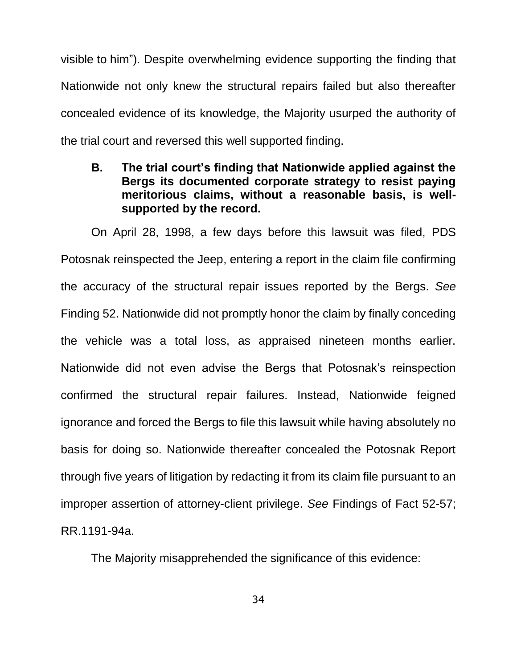visible to him"). Despite overwhelming evidence supporting the finding that Nationwide not only knew the structural repairs failed but also thereafter concealed evidence of its knowledge, the Majority usurped the authority of the trial court and reversed this well supported finding.

**B. The trial court's finding that Nationwide applied against the Bergs its documented corporate strategy to resist paying meritorious claims, without a reasonable basis, is wellsupported by the record.**

On April 28, 1998, a few days before this lawsuit was filed, PDS Potosnak reinspected the Jeep, entering a report in the claim file confirming the accuracy of the structural repair issues reported by the Bergs. *See*  Finding 52. Nationwide did not promptly honor the claim by finally conceding the vehicle was a total loss, as appraised nineteen months earlier. Nationwide did not even advise the Bergs that Potosnak's reinspection confirmed the structural repair failures. Instead, Nationwide feigned ignorance and forced the Bergs to file this lawsuit while having absolutely no basis for doing so. Nationwide thereafter concealed the Potosnak Report through five years of litigation by redacting it from its claim file pursuant to an improper assertion of attorney-client privilege. *See* Findings of Fact 52-57; RR.1191-94a.

The Majority misapprehended the significance of this evidence:

34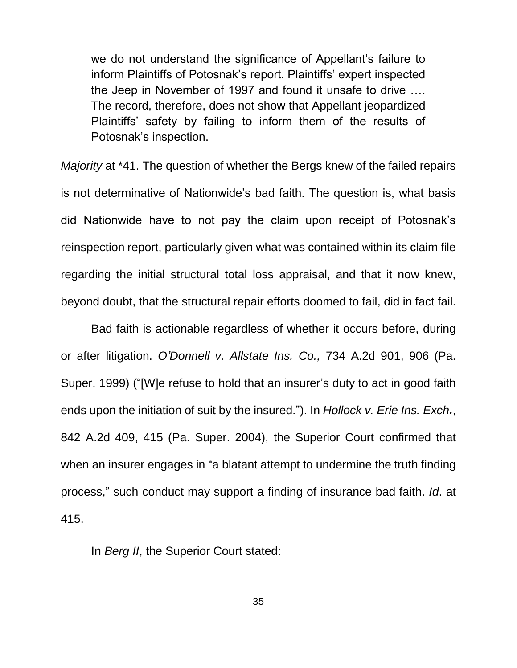we do not understand the significance of Appellant's failure to inform Plaintiffs of Potosnak's report. Plaintiffs' expert inspected the Jeep in November of 1997 and found it unsafe to drive …. The record, therefore, does not show that Appellant jeopardized Plaintiffs' safety by failing to inform them of the results of Potosnak's inspection.

*Majority* at \*41. The question of whether the Bergs knew of the failed repairs is not determinative of Nationwide's bad faith. The question is, what basis did Nationwide have to not pay the claim upon receipt of Potosnak's reinspection report, particularly given what was contained within its claim file regarding the initial structural total loss appraisal, and that it now knew, beyond doubt, that the structural repair efforts doomed to fail, did in fact fail.

Bad faith is actionable regardless of whether it occurs before, during or after litigation. *O'Donnell v. Allstate Ins. Co.,* 734 A.2d 901, 906 (Pa. Super. 1999) ("[W]e refuse to hold that an insurer's duty to act in good faith ends upon the initiation of suit by the insured."). In *Hollock v. Erie Ins. Exch.*, 842 A.2d 409, 415 (Pa. Super. 2004), the Superior Court confirmed that when an insurer engages in "a blatant attempt to undermine the truth finding process," such conduct may support a finding of insurance bad faith. *Id*. at 415.

In *Berg II*, the Superior Court stated: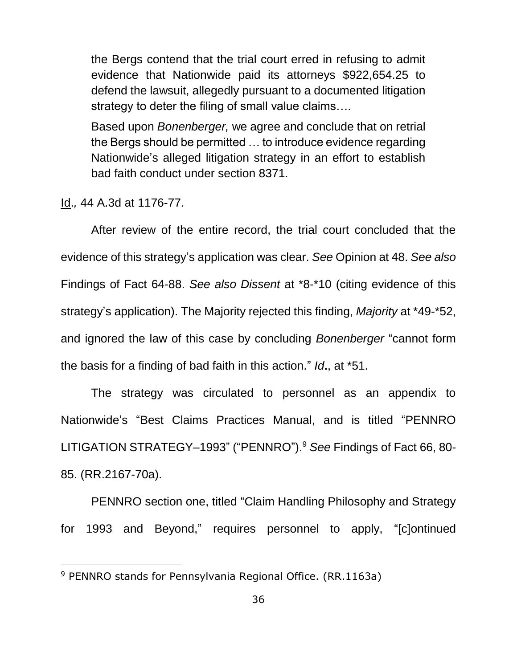the Bergs contend that the trial court erred in refusing to admit evidence that Nationwide paid its attorneys \$922,654.25 to defend the lawsuit, allegedly pursuant to a documented litigation strategy to deter the filing of small value claims….

Based upon *Bonenberger,* we agree and conclude that on retrial the Bergs should be permitted … to introduce evidence regarding Nationwide's alleged litigation strategy in an effort to establish bad faith conduct under section 8371.

Id.*,* 44 A.3d at 1176-77.

 $\overline{a}$ 

After review of the entire record, the trial court concluded that the evidence of this strategy's application was clear. *See* Opinion at 48. *See also* Findings of Fact 64-88. *See also Dissent* at \*8-\*10 (citing evidence of this strategy's application). The Majority rejected this finding, *Majority* at \*49-\*52, and ignored the law of this case by concluding *Bonenberger* "cannot form the basis for a finding of bad faith in this action." *Id***.**, at \*51.

The strategy was circulated to personnel as an appendix to Nationwide's "Best Claims Practices Manual, and is titled "PENNRO LITIGATION STRATEGY–1993" ("PENNRO").<sup>9</sup> *See* Findings of Fact 66, 80- 85. (RR.2167-70a).

PENNRO section one, titled "Claim Handling Philosophy and Strategy for 1993 and Beyond," requires personnel to apply, "[c]ontinued

<sup>9</sup> PENNRO stands for Pennsylvania Regional Office. (RR.1163a)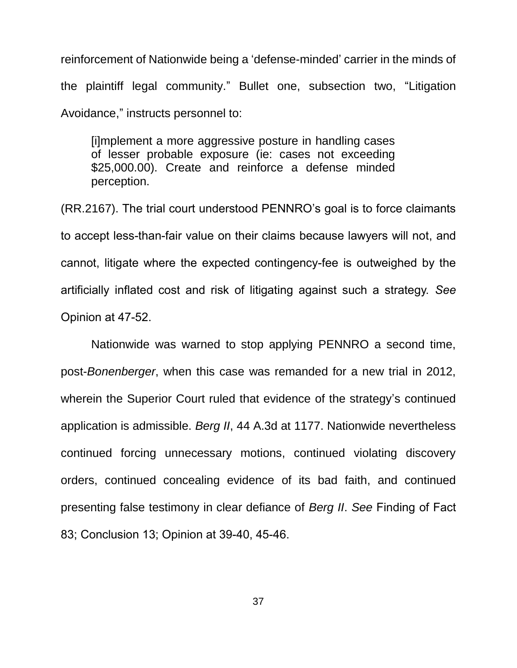reinforcement of Nationwide being a 'defense-minded' carrier in the minds of the plaintiff legal community." Bullet one, subsection two, "Litigation Avoidance," instructs personnel to:

[i]mplement a more aggressive posture in handling cases of lesser probable exposure (ie: cases not exceeding \$25,000.00). Create and reinforce a defense minded perception.

(RR.2167). The trial court understood PENNRO's goal is to force claimants to accept less-than-fair value on their claims because lawyers will not, and cannot, litigate where the expected contingency-fee is outweighed by the artificially inflated cost and risk of litigating against such a strategy. *See*  Opinion at 47-52.

Nationwide was warned to stop applying PENNRO a second time, post-*Bonenberger*, when this case was remanded for a new trial in 2012, wherein the Superior Court ruled that evidence of the strategy's continued application is admissible. *Berg II*, 44 A.3d at 1177. Nationwide nevertheless continued forcing unnecessary motions, continued violating discovery orders, continued concealing evidence of its bad faith, and continued presenting false testimony in clear defiance of *Berg II*. *See* Finding of Fact 83; Conclusion 13; Opinion at 39-40, 45-46.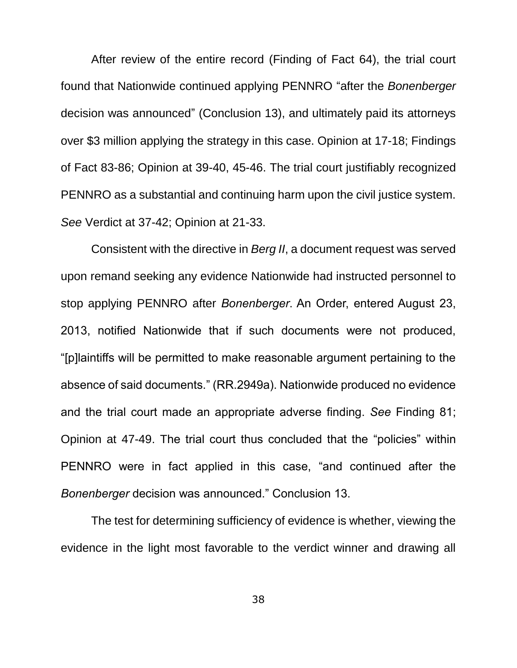After review of the entire record (Finding of Fact 64), the trial court found that Nationwide continued applying PENNRO "after the *Bonenberger* decision was announced" (Conclusion 13), and ultimately paid its attorneys over \$3 million applying the strategy in this case. Opinion at 17-18; Findings of Fact 83-86; Opinion at 39-40, 45-46. The trial court justifiably recognized PENNRO as a substantial and continuing harm upon the civil justice system. *See* Verdict at 37-42; Opinion at 21-33.

Consistent with the directive in *Berg II*, a document request was served upon remand seeking any evidence Nationwide had instructed personnel to stop applying PENNRO after *Bonenberger*. An Order, entered August 23, 2013, notified Nationwide that if such documents were not produced, "[p]laintiffs will be permitted to make reasonable argument pertaining to the absence of said documents." (RR.2949a). Nationwide produced no evidence and the trial court made an appropriate adverse finding. *See* Finding 81; Opinion at 47-49. The trial court thus concluded that the "policies" within PENNRO were in fact applied in this case, "and continued after the *Bonenberger* decision was announced." Conclusion 13.

The test for determining sufficiency of evidence is whether, viewing the evidence in the light most favorable to the verdict winner and drawing all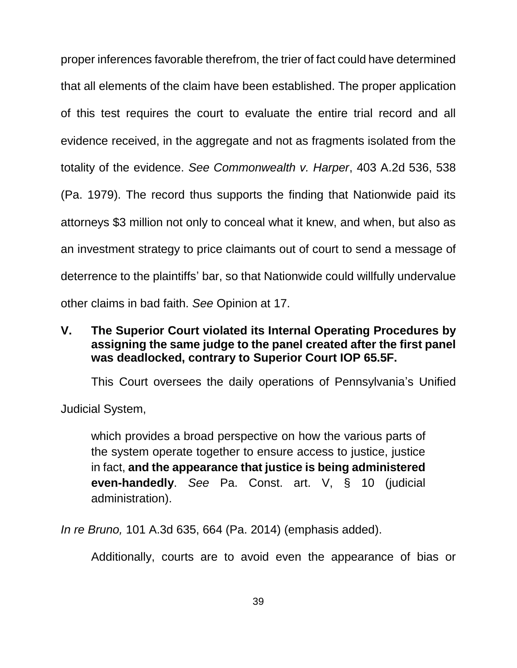proper inferences favorable therefrom, the trier of fact could have determined that all elements of the claim have been established. The proper application of this test requires the court to evaluate the entire trial record and all evidence received, in the aggregate and not as fragments isolated from the totality of the evidence. *See Commonwealth v. Harper*, 403 A.2d 536, 538 (Pa. 1979). The record thus supports the finding that Nationwide paid its attorneys \$3 million not only to conceal what it knew, and when, but also as an investment strategy to price claimants out of court to send a message of deterrence to the plaintiffs' bar, so that Nationwide could willfully undervalue other claims in bad faith. *See* Opinion at 17.

## **V. The Superior Court violated its Internal Operating Procedures by assigning the same judge to the panel created after the first panel was deadlocked, contrary to Superior Court IOP 65.5F.**

This Court oversees the daily operations of Pennsylvania's Unified

Judicial System,

which provides a broad perspective on how the various parts of the system operate together to ensure access to justice, justice in fact, **and the appearance that justice is being administered even-handedly**. *See* Pa. Const. art. V, § 10 (judicial administration).

*In re Bruno,* 101 A.3d 635, 664 (Pa. 2014) (emphasis added).

Additionally, courts are to avoid even the appearance of bias or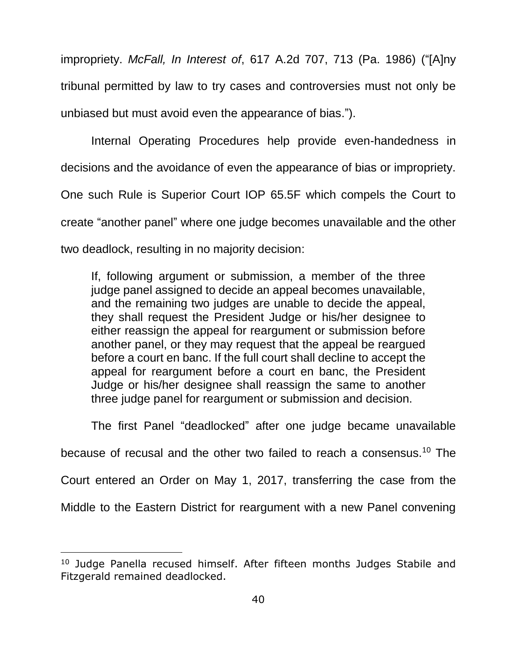impropriety. *McFall, In Interest of*, 617 A.2d 707, 713 (Pa. 1986) ("[A]ny tribunal permitted by law to try cases and controversies must not only be unbiased but must avoid even the appearance of bias.").

Internal Operating Procedures help provide even-handedness in decisions and the avoidance of even the appearance of bias or impropriety. One such Rule is Superior Court IOP 65.5F which compels the Court to create "another panel" where one judge becomes unavailable and the other two deadlock, resulting in no majority decision:

If, following argument or submission, a member of the three judge panel assigned to decide an appeal becomes unavailable, and the remaining two judges are unable to decide the appeal, they shall request the President Judge or his/her designee to either reassign the appeal for reargument or submission before another panel, or they may request that the appeal be reargued before a court en banc. If the full court shall decline to accept the appeal for reargument before a court en banc, the President Judge or his/her designee shall reassign the same to another three judge panel for reargument or submission and decision.

The first Panel "deadlocked" after one judge became unavailable

because of recusal and the other two failed to reach a consensus.<sup>10</sup> The

Court entered an Order on May 1, 2017, transferring the case from the

Middle to the Eastern District for reargument with a new Panel convening

 $\overline{a}$ 

<sup>&</sup>lt;sup>10</sup> Judge Panella recused himself. After fifteen months Judges Stabile and Fitzgerald remained deadlocked.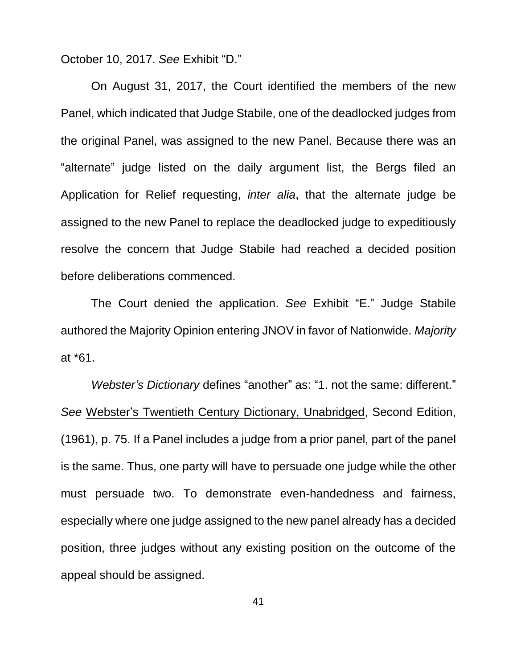October 10, 2017. *See* Exhibit "D."

On August 31, 2017, the Court identified the members of the new Panel, which indicated that Judge Stabile, one of the deadlocked judges from the original Panel, was assigned to the new Panel. Because there was an "alternate" judge listed on the daily argument list, the Bergs filed an Application for Relief requesting, *inter alia*, that the alternate judge be assigned to the new Panel to replace the deadlocked judge to expeditiously resolve the concern that Judge Stabile had reached a decided position before deliberations commenced.

The Court denied the application. *See* Exhibit "E." Judge Stabile authored the Majority Opinion entering JNOV in favor of Nationwide. *Majority* at \*61.

*Webster's Dictionary* defines "another" as: "1. not the same: different." *See* Webster's Twentieth Century Dictionary, Unabridged, Second Edition, (1961), p. 75. If a Panel includes a judge from a prior panel, part of the panel is the same. Thus, one party will have to persuade one judge while the other must persuade two. To demonstrate even-handedness and fairness, especially where one judge assigned to the new panel already has a decided position, three judges without any existing position on the outcome of the appeal should be assigned.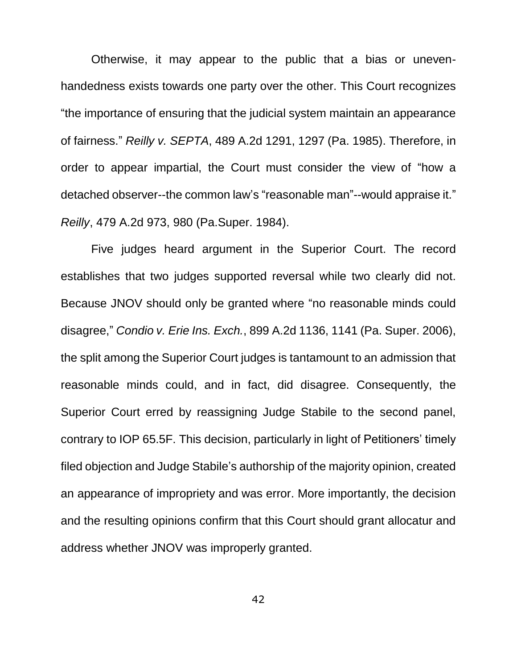Otherwise, it may appear to the public that a bias or unevenhandedness exists towards one party over the other. This Court recognizes "the importance of ensuring that the judicial system maintain an appearance of fairness." *Reilly v. SEPTA*, 489 A.2d 1291, 1297 (Pa. 1985). Therefore, in order to appear impartial, the Court must consider the view of "how a detached observer--the common law's "reasonable man"--would appraise it." *Reilly*, 479 A.2d 973, 980 (Pa.Super. 1984).

Five judges heard argument in the Superior Court. The record establishes that two judges supported reversal while two clearly did not. Because JNOV should only be granted where "no reasonable minds could disagree," *Condio v. Erie Ins. Exch.*, 899 A.2d 1136, 1141 (Pa. Super. 2006), the split among the Superior Court judges is tantamount to an admission that reasonable minds could, and in fact, did disagree. Consequently, the Superior Court erred by reassigning Judge Stabile to the second panel, contrary to IOP 65.5F. This decision, particularly in light of Petitioners' timely filed objection and Judge Stabile's authorship of the majority opinion, created an appearance of impropriety and was error. More importantly, the decision and the resulting opinions confirm that this Court should grant allocatur and address whether JNOV was improperly granted.

42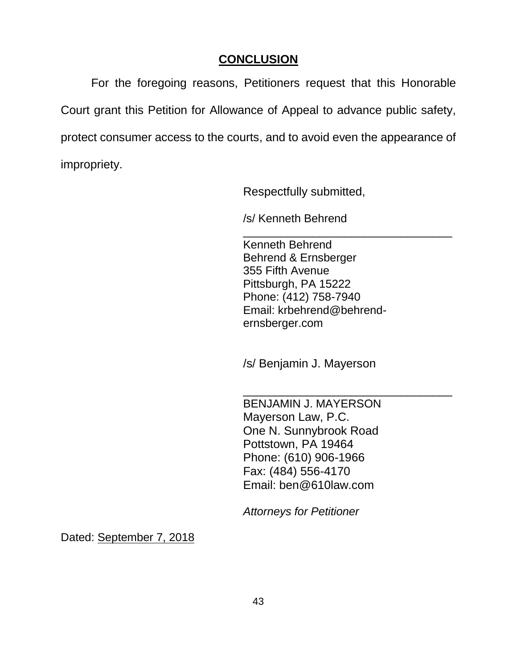## **CONCLUSION**

For the foregoing reasons, Petitioners request that this Honorable Court grant this Petition for Allowance of Appeal to advance public safety, protect consumer access to the courts, and to avoid even the appearance of impropriety.

Respectfully submitted,

/s/ Kenneth Behrend

\_\_\_\_\_\_\_\_\_\_\_\_\_\_\_\_\_\_\_\_\_\_\_\_\_\_\_\_\_\_\_\_\_ Kenneth Behrend Behrend & Ernsberger 355 Fifth Avenue Pittsburgh, PA 15222 Phone: (412) 758-7940 Email: krbehrend@behrendernsberger.com

/s/ Benjamin J. Mayerson

\_\_\_\_\_\_\_\_\_\_\_\_\_\_\_\_\_\_\_\_\_\_\_\_\_\_\_\_\_\_\_\_\_

BENJAMIN J. MAYERSON Mayerson Law, P.C. One N. Sunnybrook Road Pottstown, PA 19464 Phone: (610) 906-1966 Fax: (484) 556-4170 Email: ben@610law.com

*Attorneys for Petitioner*

Dated: September 7, 2018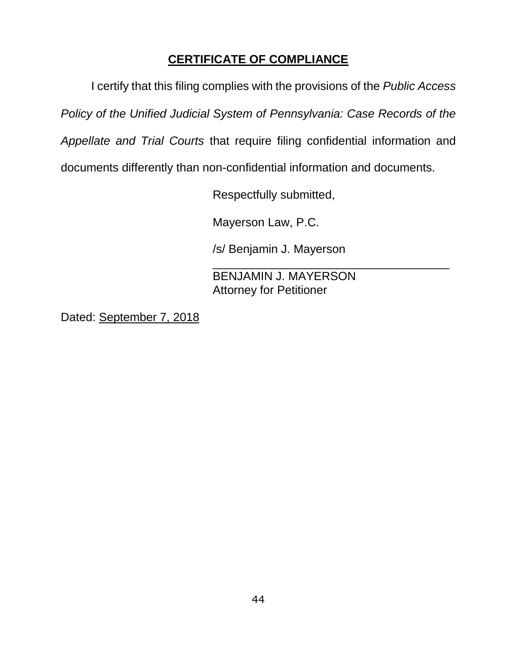## **CERTIFICATE OF COMPLIANCE**

I certify that this filing complies with the provisions of the *Public Access* 

*Policy of the Unified Judicial System of Pennsylvania: Case Records of the* 

*Appellate and Trial Courts* that require filing confidential information and

documents differently than non-confidential information and documents.

Respectfully submitted,

Mayerson Law, P.C.

/s/ Benjamin J. Mayerson

\_\_\_\_\_\_\_\_\_\_\_\_\_\_\_\_\_\_\_\_\_\_\_\_\_\_\_\_\_\_\_\_\_\_\_\_ BENJAMIN J. MAYERSON Attorney for Petitioner

Dated: September 7, 2018